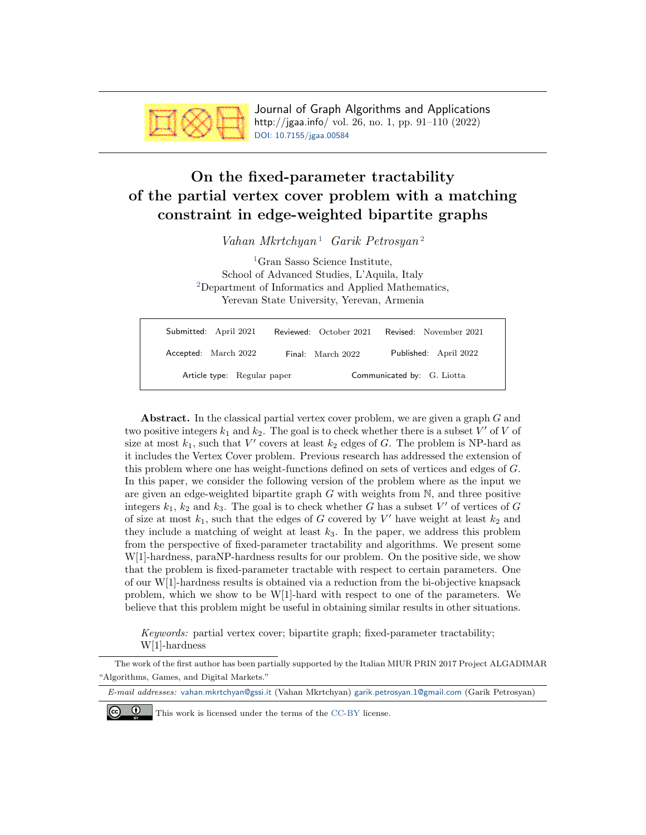

Journal of Graph Algorithms and Applications http://jgaa.info/ vol. 26, no. 1, pp. 91–110 (2022) [DOI: 10.7155/jgaa.00584](http://dx.doi.org/10.7155/jgaa.00584)

# <span id="page-0-0"></span>On the fixed-parameter tractability of the partial vertex cover problem with a matching constraint in edge-weighted bipartite graphs

Vahan Mkrtchyan<sup>[1](#page-0-0)</sup> Garik Petrosyan<sup>[2](#page-0-0)</sup>

<sup>[1](#page-0-0)</sup>Gran Sasso Science Institute, School of Advanced Studies, L'Aquila, Italy [2](#page-0-0)Department of Informatics and Applied Mathematics, Yerevan State University, Yerevan, Armenia

| Submitted: April 2021 |                             | Reviewed: October 2021 | Revised: November 2021     |
|-----------------------|-----------------------------|------------------------|----------------------------|
| Accepted: March 2022  |                             | Final: March 2022      | Published: April 2022      |
|                       | Article type: Regular paper |                        | Communicated by: G. Liotta |

Abstract. In the classical partial vertex cover problem, we are given a graph G and two positive integers  $k_1$  and  $k_2$ . The goal is to check whether there is a subset V' of V of size at most  $k_1$ , such that V' covers at least  $k_2$  edges of G. The problem is NP-hard as it includes the Vertex Cover problem. Previous research has addressed the extension of this problem where one has weight-functions defined on sets of vertices and edges of G. In this paper, we consider the following version of the problem where as the input we are given an edge-weighted bipartite graph  $G$  with weights from  $N$ , and three positive integers  $k_1, k_2$  and  $k_3$ . The goal is to check whether G has a subset V' of vertices of G of size at most  $k_1$ , such that the edges of G covered by V' have weight at least  $k_2$  and they include a matching of weight at least  $k_3$ . In the paper, we address this problem from the perspective of fixed-parameter tractability and algorithms. We present some W[1]-hardness, paraNP-hardness results for our problem. On the positive side, we show that the problem is fixed-parameter tractable with respect to certain parameters. One of our W[1]-hardness results is obtained via a reduction from the bi-objective knapsack problem, which we show to be W[1]-hard with respect to one of the parameters. We believe that this problem might be useful in obtaining similar results in other situations.

Keywords: partial vertex cover; bipartite graph; fixed-parameter tractability; W[1]-hardness

The work of the first author has been partially supported by the Italian MIUR PRIN 2017 Project ALGADIMAR "Algorithms, Games, and Digital Markets."

E-mail addresses: [vahan.mkrtchyan@gssi.it](mailto:vahan.mkrtchyan@gssi.it) (Vahan Mkrtchyan) [garik.petrosyan.1@gmail.com](mailto:garik.petrosyan.1@gmail.com) (Garik Petrosyan)



This work is licensed under the terms of the [CC-BY](https://creativecommons.org/licenses/by/4.0/) license.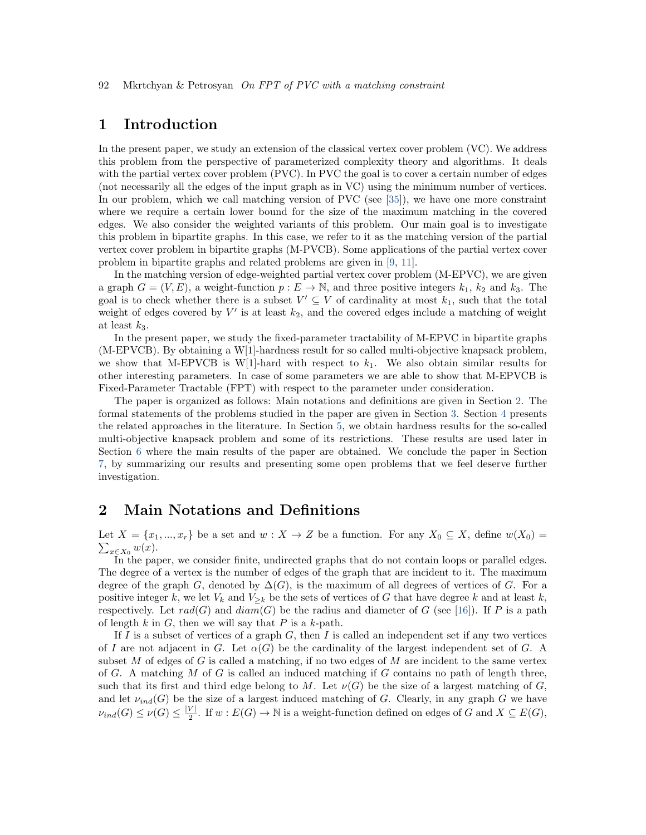# 1 Introduction

In the present paper, we study an extension of the classical vertex cover problem (VC). We address this problem from the perspective of parameterized complexity theory and algorithms. It deals with the partial vertex cover problem (PVC). In PVC the goal is to cover a certain number of edges (not necessarily all the edges of the input graph as in VC) using the minimum number of vertices. In our problem, which we call matching version of PVC (see [\[35\]](#page-18-0)), we have one more constraint where we require a certain lower bound for the size of the maximum matching in the covered edges. We also consider the weighted variants of this problem. Our main goal is to investigate this problem in bipartite graphs. In this case, we refer to it as the matching version of the partial vertex cover problem in bipartite graphs (M-PVCB). Some applications of the partial vertex cover problem in bipartite graphs and related problems are given in [\[9,](#page-16-0) [11\]](#page-16-1).

In the matching version of edge-weighted partial vertex cover problem (M-EPVC), we are given a graph  $G = (V, E)$ , a weight-function  $p : E \to \mathbb{N}$ , and three positive integers  $k_1, k_2$  and  $k_3$ . The goal is to check whether there is a subset  $V' \subseteq V$  of cardinality at most  $k_1$ , such that the total weight of edges covered by  $V'$  is at least  $k_2$ , and the covered edges include a matching of weight at least  $k_3$ .

In the present paper, we study the fixed-parameter tractability of M-EPVC in bipartite graphs (M-EPVCB). By obtaining a W[1]-hardness result for so called multi-objective knapsack problem, we show that M-EPVCB is W[1]-hard with respect to  $k_1$ . We also obtain similar results for other interesting parameters. In case of some parameters we are able to show that M-EPVCB is Fixed-Parameter Tractable (FPT) with respect to the parameter under consideration.

The paper is organized as follows: Main notations and definitions are given in Section [2.](#page-1-0) The formal statements of the problems studied in the paper are given in Section [3.](#page-2-0) Section [4](#page-4-0) presents the related approaches in the literature. In Section [5,](#page-5-0) we obtain hardness results for the so-called multi-objective knapsack problem and some of its restrictions. These results are used later in Section [6](#page-8-0) where the main results of the paper are obtained. We conclude the paper in Section [7,](#page-14-0) by summarizing our results and presenting some open problems that we feel deserve further investigation.

## <span id="page-1-0"></span>2 Main Notations and Definitions

 $\sum_{x\in X_0} w(x)$ . Let  $X = \{x_1, ..., x_r\}$  be a set and  $w : X \to Z$  be a function. For any  $X_0 \subseteq X$ , define  $w(X_0) =$ 

In the paper, we consider finite, undirected graphs that do not contain loops or parallel edges. The degree of a vertex is the number of edges of the graph that are incident to it. The maximum degree of the graph G, denoted by  $\Delta(G)$ , is the maximum of all degrees of vertices of G. For a positive integer k, we let  $V_k$  and  $V_{\geq k}$  be the sets of vertices of G that have degree k and at least k, respectively. Let  $rad(G)$  and  $diam(G)$  be the radius and diameter of G (see [\[16\]](#page-17-0)). If P is a path of length k in G, then we will say that P is a k-path.

If I is a subset of vertices of a graph  $G$ , then I is called an independent set if any two vertices of I are not adjacent in G. Let  $\alpha(G)$  be the cardinality of the largest independent set of G. A subset  $M$  of edges of  $G$  is called a matching, if no two edges of  $M$  are incident to the same vertex of G. A matching  $M$  of G is called an induced matching if G contains no path of length three, such that its first and third edge belong to M. Let  $\nu(G)$  be the size of a largest matching of G, and let  $\nu_{ind}(G)$  be the size of a largest induced matching of G. Clearly, in any graph G we have  $\nu_{ind}(G) \leq \nu(G) \leq \frac{|V|}{2}$  $\frac{V}{2}$ . If w :  $E(G)$  → N is a weight-function defined on edges of G and  $X \subseteq E(G)$ ,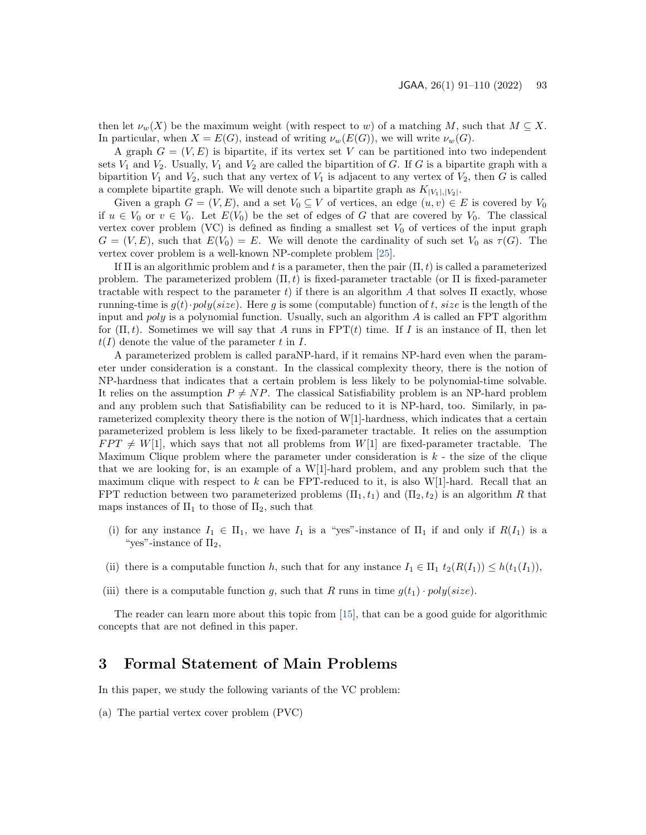then let  $\nu_w(X)$  be the maximum weight (with respect to w) of a matching M, such that  $M \subseteq X$ . In particular, when  $X = E(G)$ , instead of writing  $\nu_w(E(G))$ , we will write  $\nu_w(G)$ .

A graph  $G = (V, E)$  is bipartite, if its vertex set V can be partitioned into two independent sets  $V_1$  and  $V_2$ . Usually,  $V_1$  and  $V_2$  are called the bipartition of G. If G is a bipartite graph with a bipartition  $V_1$  and  $V_2$ , such that any vertex of  $V_1$  is adjacent to any vertex of  $V_2$ , then G is called a complete bipartite graph. We will denote such a bipartite graph as  $K_{|V_1|,|V_2|}$ .

Given a graph  $G = (V, E)$ , and a set  $V_0 \subseteq V$  of vertices, an edge  $(u, v) \in E$  is covered by  $V_0$ if  $u \in V_0$  or  $v \in V_0$ . Let  $E(V_0)$  be the set of edges of G that are covered by  $V_0$ . The classical vertex cover problem (VC) is defined as finding a smallest set  $V_0$  of vertices of the input graph  $G = (V, E)$ , such that  $E(V_0) = E$ . We will denote the cardinality of such set  $V_0$  as  $\tau(G)$ . The vertex cover problem is a well-known NP-complete problem [\[25\]](#page-17-1).

If  $\Pi$  is an algorithmic problem and t is a parameter, then the pair  $(\Pi, t)$  is called a parameterized problem. The parameterized problem  $(\Pi, t)$  is fixed-parameter tractable (or  $\Pi$  is fixed-parameter tractable with respect to the parameter t) if there is an algorithm A that solves  $\Pi$  exactly, whose running-time is  $g(t) \cdot poly(size)$ . Here g is some (computable) function of t, size is the length of the input and  $poly$  is a polynomial function. Usually, such an algorithm  $\overline{A}$  is called an FPT algorithm for  $(\Pi, t)$ . Sometimes we will say that A runs in FPT(t) time. If I is an instance of  $\Pi$ , then let  $t(I)$  denote the value of the parameter t in I.

A parameterized problem is called paraNP-hard, if it remains NP-hard even when the parameter under consideration is a constant. In the classical complexity theory, there is the notion of NP-hardness that indicates that a certain problem is less likely to be polynomial-time solvable. It relies on the assumption  $P \neq NP$ . The classical Satisfiability problem is an NP-hard problem and any problem such that Satisfiability can be reduced to it is NP-hard, too. Similarly, in parameterized complexity theory there is the notion of W[1]-hardness, which indicates that a certain parameterized problem is less likely to be fixed-parameter tractable. It relies on the assumption  $FPT \neq W[1]$ , which says that not all problems from  $W[1]$  are fixed-parameter tractable. The Maximum Clique problem where the parameter under consideration is  $k$  - the size of the clique that we are looking for, is an example of a W[1]-hard problem, and any problem such that the maximum clique with respect to k can be FPT-reduced to it, is also  $W[1]$ -hard. Recall that an FPT reduction between two parameterized problems  $(\Pi_1, t_1)$  and  $(\Pi_2, t_2)$  is an algorithm R that maps instances of  $\Pi_1$  to those of  $\Pi_2$ , such that

- (i) for any instance  $I_1 \in \Pi_1$ , we have  $I_1$  is a "yes"-instance of  $\Pi_1$  if and only if  $R(I_1)$  is a "yes"-instance of  $\Pi_2$ ,
- (ii) there is a computable function h, such that for any instance  $I_1 \in \Pi_1$   $t_2(R(I_1)) \leq h(t_1(I_1)),$
- (iii) there is a computable function g, such that R runs in time  $g(t_1) \cdot poly(size)$ .

The reader can learn more about this topic from [\[15\]](#page-17-2), that can be a good guide for algorithmic concepts that are not defined in this paper.

### <span id="page-2-0"></span>3 Formal Statement of Main Problems

In this paper, we study the following variants of the VC problem:

(a) The partial vertex cover problem (PVC)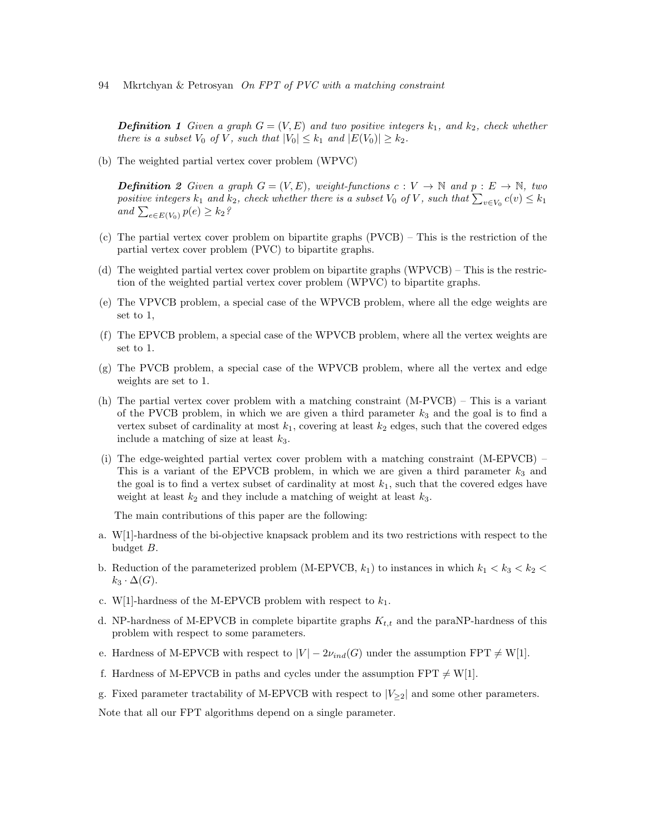**Definition 1** Given a graph  $G = (V, E)$  and two positive integers  $k_1$ , and  $k_2$ , check whether there is a subset  $V_0$  of V, such that  $|V_0| \leq k_1$  and  $|E(V_0)| \geq k_2$ .

(b) The weighted partial vertex cover problem (WPVC)

**Definition** 2 Given a graph  $G = (V, E)$ , weight-functions  $c: V \to \mathbb{N}$  and  $p: E \to \mathbb{N}$ , two positive integers  $k_1$  and  $k_2$ , check whether there is a subset  $V_0$  of V, such that  $\sum_{v \in V_0} c(v) \leq k_1$ and  $\sum_{e \in E(V_0)} p(e) \geq k_2$ ?

- (c) The partial vertex cover problem on bipartite graphs (PVCB) This is the restriction of the partial vertex cover problem (PVC) to bipartite graphs.
- (d) The weighted partial vertex cover problem on bipartite graphs (WPVCB) This is the restriction of the weighted partial vertex cover problem (WPVC) to bipartite graphs.
- (e) The VPVCB problem, a special case of the WPVCB problem, where all the edge weights are set to 1,
- (f) The EPVCB problem, a special case of the WPVCB problem, where all the vertex weights are set to 1.
- (g) The PVCB problem, a special case of the WPVCB problem, where all the vertex and edge weights are set to 1.
- (h) The partial vertex cover problem with a matching constraint (M-PVCB) This is a variant of the PVCB problem, in which we are given a third parameter  $k_3$  and the goal is to find a vertex subset of cardinality at most  $k_1$ , covering at least  $k_2$  edges, such that the covered edges include a matching of size at least  $k_3$ .
- (i) The edge-weighted partial vertex cover problem with a matching constraint (M-EPVCB) This is a variant of the EPVCB problem, in which we are given a third parameter  $k_3$  and the goal is to find a vertex subset of cardinality at most  $k_1$ , such that the covered edges have weight at least  $k_2$  and they include a matching of weight at least  $k_3$ .

The main contributions of this paper are the following:

- a. W[1]-hardness of the bi-objective knapsack problem and its two restrictions with respect to the budget B.
- b. Reduction of the parameterized problem (M-EPVCB,  $k_1$ ) to instances in which  $k_1 < k_3 < k_2$  $k_3 \cdot \Delta(G)$ .
- c. W[1]-hardness of the M-EPVCB problem with respect to  $k_1$ .
- d. NP-hardness of M-EPVCB in complete bipartite graphs  $K_{t,t}$  and the paraNP-hardness of this problem with respect to some parameters.
- e. Hardness of M-EPVCB with respect to  $|V| 2\nu_{ind}(G)$  under the assumption  $FPT \neq W[1]$ .
- f. Hardness of M-EPVCB in paths and cycles under the assumption  $FPT \neq W[1]$ .
- g. Fixed parameter tractability of M-EPVCB with respect to  $|V_{\geq 2}|$  and some other parameters.

Note that all our FPT algorithms depend on a single parameter.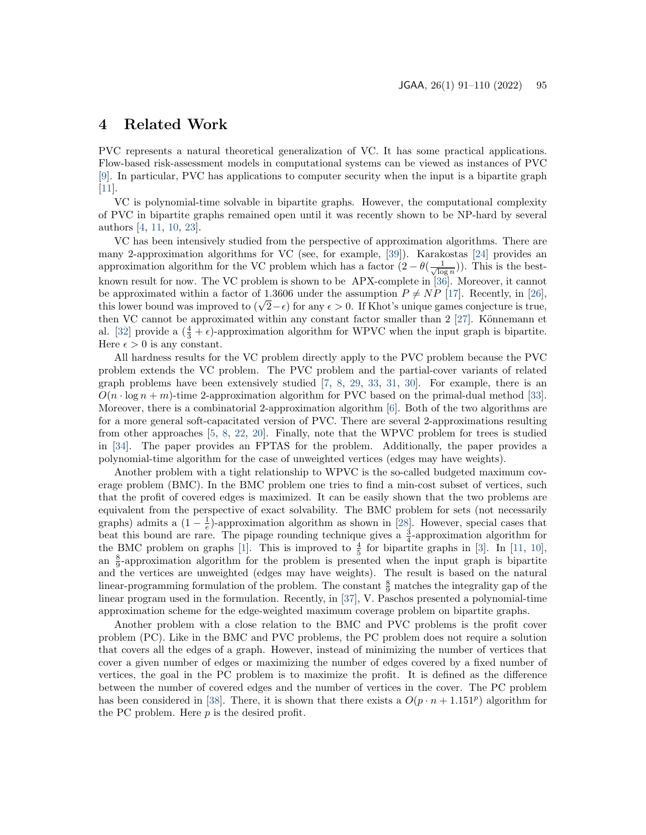# <span id="page-4-0"></span>4 Related Work

PVC represents a natural theoretical generalization of VC. It has some practical applications. Flow-based risk-assessment models in computational systems can be viewed as instances of PVC [\[9\]](#page-16-0). In particular, PVC has applications to computer security when the input is a bipartite graph [\[11\]](#page-16-1).

VC is polynomial-time solvable in bipartite graphs. However, the computational complexity of PVC in bipartite graphs remained open until it was recently shown to be NP-hard by several authors [\[4,](#page-16-2) [11,](#page-16-1) [10,](#page-16-3) [23\]](#page-17-3).

VC has been intensively studied from the perspective of approximation algorithms. There are many 2-approximation algorithms for VC (see, for example, [\[39\]](#page-19-0)). Karakostas [\[24\]](#page-17-4) provides an approximation algorithm for the VC problem which has a factor  $(2 - \theta(\frac{1}{\sqrt{\log n}}))$ . This is the bestknown result for now. The VC problem is shown to be APX-complete in [\[36\]](#page-18-1). Moreover, it cannot be approximated within a factor of 1.3606 under the assumption  $P \neq NP$  [\[17\]](#page-17-5). Recently, in [\[26\]](#page-17-6), be approximated within a ractor of 1.5000 under the assumption  $P \neq NP$  [17]. Recently, in [20], this lower bound was improved to  $(\sqrt{2}-\epsilon)$  for any  $\epsilon > 0$ . If Khot's unique games conjecture is true, then VC cannot be approximated within any constant factor smaller than  $2$  [\[27\]](#page-18-2). Könnemann et al. [\[32\]](#page-18-3) provide a  $(\frac{4}{3} + \epsilon)$ -approximation algorithm for WPVC when the input graph is bipartite. Here  $\epsilon > 0$  is any constant.

All hardness results for the VC problem directly apply to the PVC problem because the PVC problem extends the VC problem. The PVC problem and the partial-cover variants of related graph problems have been extensively studied [\[7,](#page-16-4) [8,](#page-16-5) [29,](#page-18-4) [33,](#page-18-5) [31,](#page-18-6) [30\]](#page-18-7). For example, there is an  $O(n \cdot \log n + m)$ -time 2-approximation algorithm for PVC based on the primal-dual method [\[33\]](#page-18-5). Moreover, there is a combinatorial 2-approximation algorithm [\[6\]](#page-16-6). Both of the two algorithms are for a more general soft-capacitated version of PVC. There are several 2-approximations resulting from other approaches [\[5,](#page-16-7) [8,](#page-16-5) [22,](#page-17-7) [20\]](#page-17-8). Finally, note that the WPVC problem for trees is studied in [\[34\]](#page-18-8). The paper provides an FPTAS for the problem. Additionally, the paper provides a polynomial-time algorithm for the case of unweighted vertices (edges may have weights).

Another problem with a tight relationship to WPVC is the so-called budgeted maximum coverage problem (BMC). In the BMC problem one tries to find a min-cost subset of vertices, such that the profit of covered edges is maximized. It can be easily shown that the two problems are equivalent from the perspective of exact solvability. The BMC problem for sets (not necessarily graphs) admits a  $(1 - \frac{1}{e})$ -approximation algorithm as shown in [\[28\]](#page-18-9). However, special cases that beat this bound are rare. The pipage rounding technique gives a  $\frac{3}{4}$ -approximation algorithm for the BMC problem on graphs [\[1\]](#page-16-8). This is improved to  $\frac{4}{5}$  for bipartite graphs in [\[3\]](#page-16-9). In [\[11,](#page-16-1) [10\]](#page-16-3), an  $\frac{8}{9}$ -approximation algorithm for the problem is presented when the input graph is bipartite and the vertices are unweighted (edges may have weights). The result is based on the natural linear-programming formulation of the problem. The constant  $\frac{8}{9}$  matches the integrality gap of the linear program used in the formulation. Recently, in [\[37\]](#page-18-10), V. Paschos presented a polynomial-time approximation scheme for the edge-weighted maximum coverage problem on bipartite graphs.

Another problem with a close relation to the BMC and PVC problems is the profit cover problem (PC). Like in the BMC and PVC problems, the PC problem does not require a solution that covers all the edges of a graph. However, instead of minimizing the number of vertices that cover a given number of edges or maximizing the number of edges covered by a fixed number of vertices, the goal in the PC problem is to maximize the profit. It is defined as the difference between the number of covered edges and the number of vertices in the cover. The PC problem has been considered in [\[38\]](#page-19-1). There, it is shown that there exists a  $O(p \cdot n + 1.151^p)$  algorithm for the PC problem. Here  $p$  is the desired profit.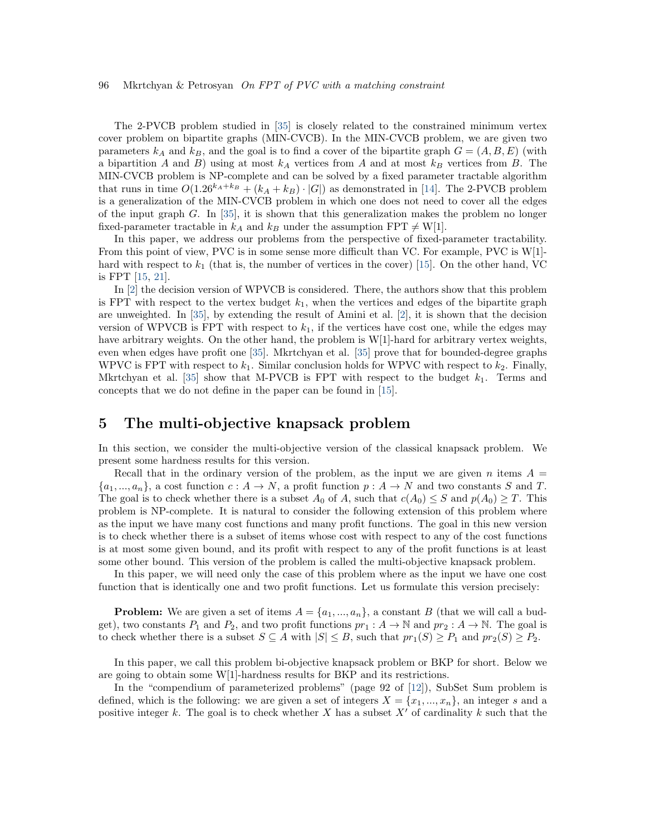The 2-PVCB problem studied in [\[35\]](#page-18-0) is closely related to the constrained minimum vertex cover problem on bipartite graphs (MIN-CVCB). In the MIN-CVCB problem, we are given two parameters  $k_A$  and  $k_B$ , and the goal is to find a cover of the bipartite graph  $G = (A, B, E)$  (with a bipartition A and B) using at most  $k_A$  vertices from A and at most  $k_B$  vertices from B. The MIN-CVCB problem is NP-complete and can be solved by a fixed parameter tractable algorithm that runs in time  $O(1.26^{k_A+k_B} + (k_A + k_B) \cdot |G|)$  as demonstrated in [\[14\]](#page-17-9). The 2-PVCB problem is a generalization of the MIN-CVCB problem in which one does not need to cover all the edges of the input graph  $G$ . In [\[35\]](#page-18-0), it is shown that this generalization makes the problem no longer fixed-parameter tractable in  $k_A$  and  $k_B$  under the assumption FPT  $\neq$  W[1].

In this paper, we address our problems from the perspective of fixed-parameter tractability. From this point of view, PVC is in some sense more difficult than VC. For example, PVC is W[1]hard with respect to  $k_1$  (that is, the number of vertices in the cover) [\[15\]](#page-17-2). On the other hand, VC is FPT [\[15,](#page-17-2) [21\]](#page-17-10).

In [\[2\]](#page-16-10) the decision version of WPVCB is considered. There, the authors show that this problem is FPT with respect to the vertex budget  $k_1$ , when the vertices and edges of the bipartite graph are unweighted. In [\[35\]](#page-18-0), by extending the result of Amini et al. [\[2\]](#page-16-10), it is shown that the decision version of WPVCB is FPT with respect to  $k_1$ , if the vertices have cost one, while the edges may have arbitrary weights. On the other hand, the problem is  $W[1]$ -hard for arbitrary vertex weights, even when edges have profit one [\[35\]](#page-18-0). Mkrtchyan et al. [\[35\]](#page-18-0) prove that for bounded-degree graphs WPVC is FPT with respect to  $k_1$ . Similar conclusion holds for WPVC with respect to  $k_2$ . Finally, Mkrtchyan et al. [\[35\]](#page-18-0) show that M-PVCB is FPT with respect to the budget  $k_1$ . Terms and concepts that we do not define in the paper can be found in [\[15\]](#page-17-2).

### <span id="page-5-0"></span>5 The multi-objective knapsack problem

In this section, we consider the multi-objective version of the classical knapsack problem. We present some hardness results for this version.

Recall that in the ordinary version of the problem, as the input we are given n items  $A =$  $\{a_1, ..., a_n\}$ , a cost function  $c : A \to N$ , a profit function  $p : A \to N$  and two constants S and T. The goal is to check whether there is a subset  $A_0$  of A, such that  $c(A_0) \leq S$  and  $p(A_0) \geq T$ . This problem is NP-complete. It is natural to consider the following extension of this problem where as the input we have many cost functions and many profit functions. The goal in this new version is to check whether there is a subset of items whose cost with respect to any of the cost functions is at most some given bound, and its profit with respect to any of the profit functions is at least some other bound. This version of the problem is called the multi-objective knapsack problem.

In this paper, we will need only the case of this problem where as the input we have one cost function that is identically one and two profit functions. Let us formulate this version precisely:

**Problem:** We are given a set of items  $A = \{a_1, ..., a_n\}$ , a constant B (that we will call a budget), two constants  $P_1$  and  $P_2$ , and two profit functions  $pr_1: A \to \mathbb{N}$  and  $pr_2: A \to \mathbb{N}$ . The goal is to check whether there is a subset  $S \subseteq A$  with  $|S| \leq B$ , such that  $pr_1(S) \geq P_1$  and  $pr_2(S) \geq P_2$ .

In this paper, we call this problem bi-objective knapsack problem or BKP for short. Below we are going to obtain some W[1]-hardness results for BKP and its restrictions.

In the "compendium of parameterized problems" (page 92 of [\[12\]](#page-16-11)), SubSet Sum problem is defined, which is the following: we are given a set of integers  $X = \{x_1, ..., x_n\}$ , an integer s and a positive integer k. The goal is to check whether X has a subset  $X'$  of cardinality k such that the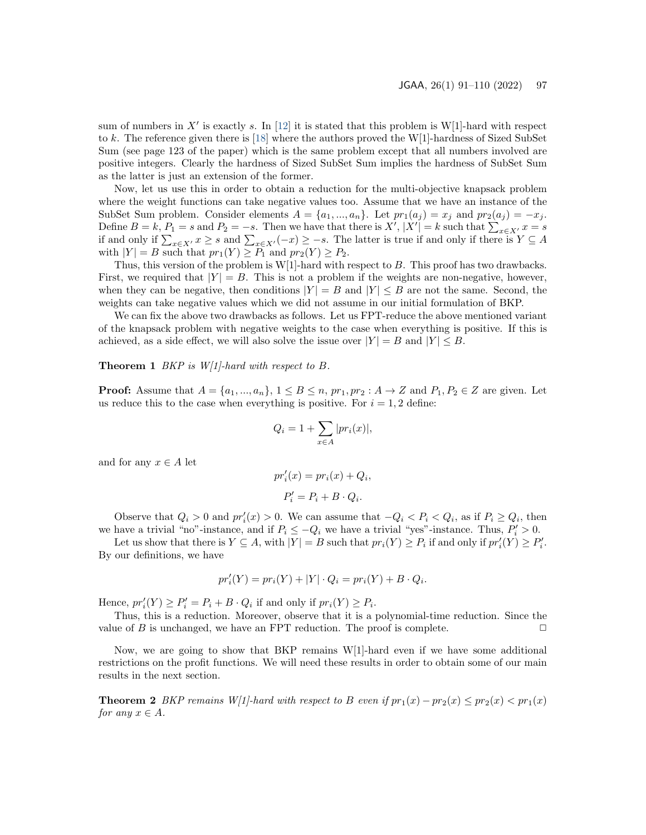sum of numbers in X' is exactly s. In [\[12\]](#page-16-11) it is stated that this problem is W[1]-hard with respect to k. The reference given there is [\[18\]](#page-17-11) where the authors proved the W[1]-hardness of Sized SubSet Sum (see page 123 of the paper) which is the same problem except that all numbers involved are positive integers. Clearly the hardness of Sized SubSet Sum implies the hardness of SubSet Sum as the latter is just an extension of the former.

Now, let us use this in order to obtain a reduction for the multi-objective knapsack problem where the weight functions can take negative values too. Assume that we have an instance of the SubSet Sum problem. Consider elements  $A = \{a_1, ..., a_n\}$ . Let  $pr_1(a_i) = x_i$  and  $pr_2(a_i) = -x_i$ . Define  $B = k$ ,  $P_1 = s$  and  $P_2 = -s$ . Then we have that there is  $X'$ ,  $|X'| = k$  such that  $\sum_{x \in X'} x = s$ if and only if  $\sum_{x\in X'} x \geq s$  and  $\sum_{x\in X'} (-x) \geq -s$ . The latter is true if and only if there is  $Y \subseteq A$ with  $|Y| = B$  such that  $pr_1(Y) \ge P_1$  and  $pr_2(Y) \ge P_2$ .

Thus, this version of the problem is W[1]-hard with respect to B. This proof has two drawbacks. First, we required that  $|Y| = B$ . This is not a problem if the weights are non-negative, however, when they can be negative, then conditions  $|Y| = B$  and  $|Y| \leq B$  are not the same. Second, the weights can take negative values which we did not assume in our initial formulation of BKP.

We can fix the above two drawbacks as follows. Let us FPT-reduce the above mentioned variant of the knapsack problem with negative weights to the case when everything is positive. If this is achieved, as a side effect, we will also solve the issue over  $|Y| = B$  and  $|Y| \leq B$ .

<span id="page-6-0"></span>**Theorem 1** BKP is  $W[1]$ -hard with respect to B.

**Proof:** Assume that  $A = \{a_1, ..., a_n\}$ ,  $1 \leq B \leq n$ ,  $pr_1, pr_2 : A \rightarrow Z$  and  $P_1, P_2 \in Z$  are given. Let us reduce this to the case when everything is positive. For  $i = 1, 2$  define:

$$
Q_i = 1 + \sum_{x \in A} |pr_i(x)|,
$$

and for any  $x \in A$  let

$$
pr'_{i}(x) = pr_{i}(x) + Q_{i},
$$

$$
P'_{i} = P_{i} + B \cdot Q_{i}.
$$

Observe that  $Q_i > 0$  and  $pr'_i(x) > 0$ . We can assume that  $-Q_i < P_i < Q_i$ , as if  $P_i \ge Q_i$ , then we have a trivial "no"-instance, and if  $P_i \le -Q_i$  we have a trivial "yes"-instance. Thus,  $P'_i > 0$ .

Let us show that there is  $Y \subseteq A$ , with  $|Y| = B$  such that  $pr_i(Y) \ge P_i$  if and only if  $pr'_i(Y) \ge P'_i$ . By our definitions, we have

$$
pr'_{i}(Y) = pr_{i}(Y) + |Y| \cdot Q_{i} = pr_{i}(Y) + B \cdot Q_{i}.
$$

Hence,  $pr'_i(Y) \ge P'_i = P_i + B \cdot Q_i$  if and only if  $pr_i(Y) \ge P_i$ .

Thus, this is a reduction. Moreover, observe that it is a polynomial-time reduction. Since the value of B is unchanged, we have an FPT reduction. The proof is complete.  $\Box$ 

Now, we are going to show that BKP remains  $W[1]$ -hard even if we have some additional restrictions on the profit functions. We will need these results in order to obtain some of our main results in the next section.

<span id="page-6-1"></span>**Theorem 2** BKP remains W[1]-hard with respect to B even if  $pr_1(x) - pr_2(x) \leq pr_2(x) \leq pr_1(x)$ for any  $x \in A$ .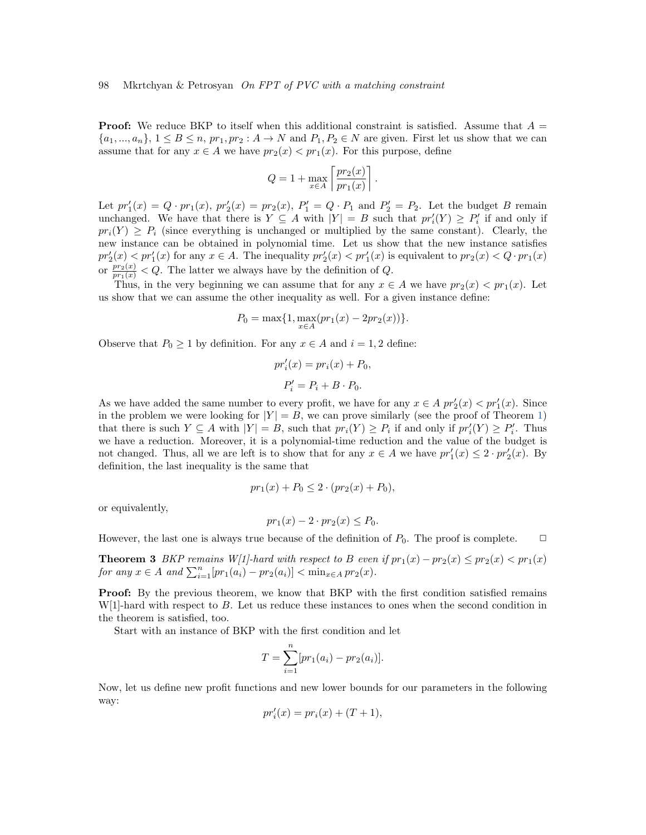**Proof:** We reduce BKP to itself when this additional constraint is satisfied. Assume that  $A =$  $\{a_1,...,a_n\}, 1 \leq B \leq n$ ,  $pr_1, pr_2: A \to N$  and  $P_1, P_2 \in N$  are given. First let us show that we can assume that for any  $x \in A$  we have  $pr_2(x) < pr_1(x)$ . For this purpose, define

$$
Q = 1 + \max_{x \in A} \left[ \frac{pr_2(x)}{pr_1(x)} \right].
$$

Let  $pr'_1(x) = Q \cdot pr_1(x)$ ,  $pr'_2(x) = pr_2(x)$ ,  $P'_1 = Q \cdot P_1$  and  $P'_2 = P_2$ . Let the budget B remain unchanged. We have that there is  $Y \subseteq A$  with  $|Y| = B$  such that  $pr'_{i}(Y) \geq P'_{i}$  if and only if  $pr_i(Y) \geq P_i$  (since everything is unchanged or multiplied by the same constant). Clearly, the new instance can be obtained in polynomial time. Let us show that the new instance satisfies  $pr'_2(x) < pr'_1(x)$  for any  $x \in A$ . The inequality  $pr'_2(x) < pr'_1(x)$  is equivalent to  $pr_2(x) < Q \cdot pr_1(x)$ or  $\frac{pr_2(x)}{pr_1(x)} < Q$ . The latter we always have by the definition of Q.

Thus, in the very beginning we can assume that for any  $x \in A$  we have  $pr_2(x) < pr_1(x)$ . Let us show that we can assume the other inequality as well. For a given instance define:

$$
P_0 = \max\{1, \max_{x \in A} (pr_1(x) - 2pr_2(x))\}.
$$

Observe that  $P_0 \ge 1$  by definition. For any  $x \in A$  and  $i = 1, 2$  define:

$$
pr'_{i}(x) = pr_{i}(x) + P_{0},
$$
  

$$
P'_{i} = P_{i} + B \cdot P_{0}.
$$

As we have added the same number to every profit, we have for any  $x \in A$   $pr'_2(x) < pr'_1(x)$ . Since in the problem we were looking for  $|Y| = B$ , we can prove similarly (see the proof of Theorem [1\)](#page-6-0) that there is such  $Y \subseteq A$  with  $|Y| = B$ , such that  $pr_i(Y) \ge P_i$  if and only if  $pr'_i(Y) \ge P'_i$ . Thus we have a reduction. Moreover, it is a polynomial-time reduction and the value of the budget is not changed. Thus, all we are left is to show that for any  $x \in A$  we have  $pr'_1(x) \leq 2 \cdot pr'_2(x)$ . By definition, the last inequality is the same that

$$
pr_1(x) + P_0 \le 2 \cdot (pr_2(x) + P_0),
$$

or equivalently,

$$
pr_1(x) - 2 \cdot pr_2(x) \le P_0.
$$

However, the last one is always true because of the definition of  $P_0$ . The proof is complete.  $\Box$ 

<span id="page-7-0"></span>**Theorem 3** BKP remains W[1]-hard with respect to B even if  $pr_1(x) - pr_2(x) \leq pr_2(x) < pr_1(x)$ for any  $x \in A$  and  $\sum_{i=1}^{n} [pr_1(a_i) - pr_2(a_i)] < \min_{x \in A} pr_2(x)$ .

**Proof:** By the previous theorem, we know that BKP with the first condition satisfied remains  $W[1]$ -hard with respect to B. Let us reduce these instances to ones when the second condition in the theorem is satisfied, too.

Start with an instance of BKP with the first condition and let

$$
T = \sum_{i=1}^{n} [pr_1(a_i) - pr_2(a_i)].
$$

Now, let us define new profit functions and new lower bounds for our parameters in the following way:

$$
pr_i'(x) = pr_i(x) + (T+1),
$$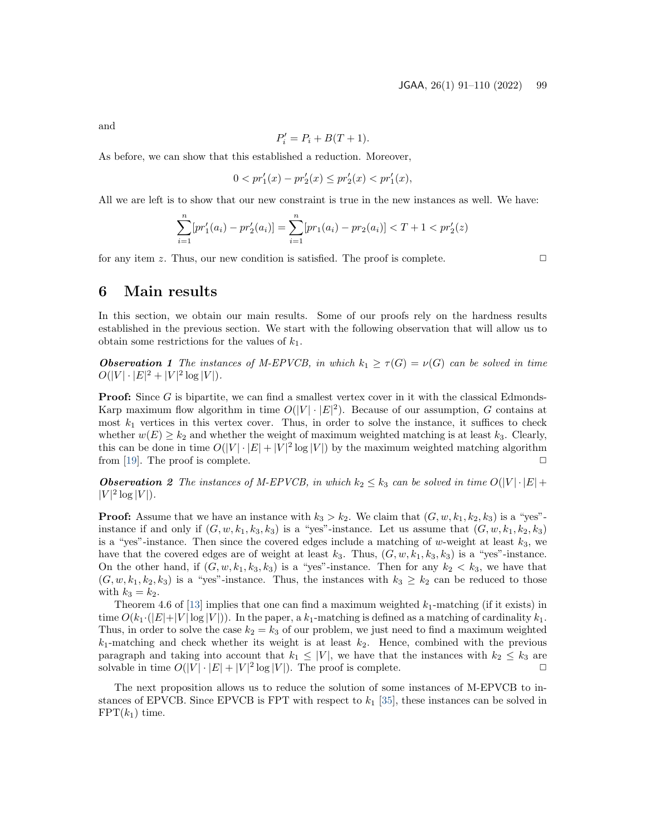and

$$
P_i' = P_i + B(T + 1).
$$

As before, we can show that this established a reduction. Moreover,

$$
0 < pr_1'(x) - pr_2'(x) \le pr_2'(x) < pr_1'(x),
$$

All we are left is to show that our new constraint is true in the new instances as well. We have:

$$
\sum_{i=1}^{n} [pr'_1(a_i) - pr'_2(a_i)] = \sum_{i=1}^{n} [pr_1(a_i) - pr_2(a_i)] < T + 1 < pr'_2(z)
$$

for any item z. Thus, our new condition is satisfied. The proof is complete.  $\Box$ 

## <span id="page-8-0"></span>6 Main results

In this section, we obtain our main results. Some of our proofs rely on the hardness results established in the previous section. We start with the following observation that will allow us to obtain some restrictions for the values of  $k_1$ .

<span id="page-8-1"></span>**Observation 1** The instances of M-EPVCB, in which  $k_1 \geq \tau(G) = \nu(G)$  can be solved in time  $O(|V| \cdot |E|^2 + |V|^2 \log |V|).$ 

**Proof:** Since G is bipartite, we can find a smallest vertex cover in it with the classical Edmonds-Karp maximum flow algorithm in time  $O(|V| \cdot |E|^2)$ . Because of our assumption, G contains at most  $k_1$  vertices in this vertex cover. Thus, in order to solve the instance, it suffices to check whether  $w(E) \geq k_2$  and whether the weight of maximum weighted matching is at least  $k_3$ . Clearly, this can be done in time  $O(|V| \cdot |E| + |V|^2 \log |V|)$  by the maximum weighted matching algorithm from [\[19\]](#page-17-12). The proof is complete.  $\Box$ 

**Observation 2** The instances of M-EPVCB, in which  $k_2 \leq k_3$  can be solved in time  $O(|V| \cdot |E| +$  $|V|^2 \log |V|$ .

**Proof:** Assume that we have an instance with  $k_3 > k_2$ . We claim that  $(G, w, k_1, k_2, k_3)$  is a "yes"instance if and only if  $(G, w, k_1, k_3, k_3)$  is a "yes"-instance. Let us assume that  $(G, w, k_1, k_2, k_3)$ is a "yes"-instance. Then since the covered edges include a matching of w-weight at least  $k_3$ , we have that the covered edges are of weight at least  $k_3$ . Thus,  $(G, w, k_1, k_3, k_3)$  is a "yes"-instance. On the other hand, if  $(G, w, k_1, k_3, k_3)$  is a "yes"-instance. Then for any  $k_2 < k_3$ , we have that  $(G, w, k_1, k_2, k_3)$  is a "yes"-instance. Thus, the instances with  $k_3 \geq k_2$  can be reduced to those with  $k_3 = k_2$ .

Theorem 4.6 of [\[13\]](#page-16-12) implies that one can find a maximum weighted  $k_1$ -matching (if it exists) in time  $O(k_1 \cdot (|E|+|V| \log |V|))$ . In the paper, a  $k_1$ -matching is defined as a matching of cardinality  $k_1$ . Thus, in order to solve the case  $k_2 = k_3$  of our problem, we just need to find a maximum weighted  $k_1$ -matching and check whether its weight is at least  $k_2$ . Hence, combined with the previous paragraph and taking into account that  $k_1 \leq |V|$ , we have that the instances with  $k_2 \leq k_3$  are solvable in time  $O(|V| \cdot |E| + |V|^2 \log |V|)$ . The proof is complete.

The next proposition allows us to reduce the solution of some instances of M-EPVCB to instances of EPVCB. Since EPVCB is FPT with respect to  $k_1$  [\[35\]](#page-18-0), these instances can be solved in  $FPT(k_1)$  time.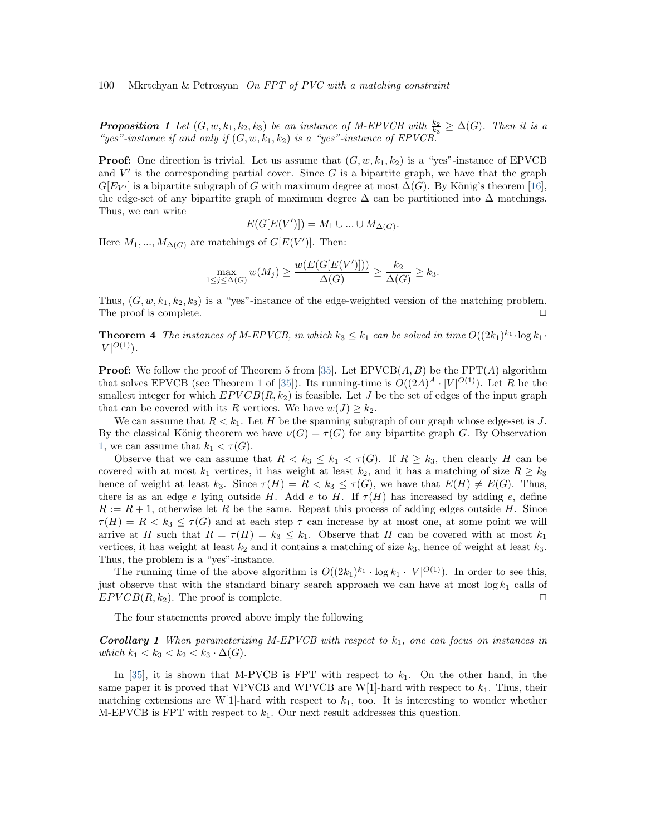**Proposition 1** Let  $(G, w, k_1, k_2, k_3)$  be an instance of M-EPVCB with  $\frac{k_2}{k_3} \geq \Delta(G)$ . Then it is a "yes"-instance if and only if  $(G, w, k_1, k_2)$  is a "yes"-instance of EPVCB.

**Proof:** One direction is trivial. Let us assume that  $(G, w, k_1, k_2)$  is a "yes"-instance of EPVCB and  $V'$  is the corresponding partial cover. Since  $G$  is a bipartite graph, we have that the graph  $G[E_{V'}]$  is a bipartite subgraph of G with maximum degree at most  $\Delta(G)$ . By König's theorem [\[16\]](#page-17-0), the edge-set of any bipartite graph of maximum degree  $\Delta$  can be partitioned into  $\Delta$  matchings. Thus, we can write

$$
E(G[E(V')]) = M_1 \cup ... \cup M_{\Delta(G)}.
$$

Here  $M_1, ..., M_{\Delta(G)}$  are matchings of  $G[E(V')]$ . Then:

$$
\max_{1 \le j \le \Delta(G)} w(M_j) \ge \frac{w(E(G[E(V')]))}{\Delta(G)} \ge \frac{k_2}{\Delta(G)} \ge k_3.
$$

Thus,  $(G, w, k_1, k_2, k_3)$  is a "yes"-instance of the edge-weighted version of the matching problem. The proof is complete.  $\Box$ 

**Theorem 4** The instances of M-EPVCB, in which  $k_3 \leq k_1$  can be solved in time  $O((2k_1)^{k_1} \cdot \log k_1 \cdot$  $|V|^{O(1)}$ ).

**Proof:** We follow the proof of Theorem 5 from [\[35\]](#page-18-0). Let  $EPVCB(A, B)$  be the  $FPT(A)$  algorithm that solves EPVCB (see Theorem 1 of [\[35\]](#page-18-0)). Its running-time is  $O((2A)^A \cdot |V|^{O(1)})$ . Let R be the smallest integer for which  $EPVCB(R, k_2)$  is feasible. Let J be the set of edges of the input graph that can be covered with its R vertices. We have  $w(J) \geq k_2$ .

We can assume that  $R < k_1$ . Let H be the spanning subgraph of our graph whose edge-set is J. By the classical König theorem we have  $\nu(G) = \tau(G)$  for any bipartite graph G. By Observation [1,](#page-8-1) we can assume that  $k_1 < \tau(G)$ .

Observe that we can assume that  $R < k_3 \leq k_1 < \tau(G)$ . If  $R \geq k_3$ , then clearly H can be covered with at most  $k_1$  vertices, it has weight at least  $k_2$ , and it has a matching of size  $R \geq k_3$ hence of weight at least  $k_3$ . Since  $\tau(H) = R < k_3 \leq \tau(G)$ , we have that  $E(H) \neq E(G)$ . Thus, there is as an edge e lying outside H. Add e to H. If  $\tau(H)$  has increased by adding e, define  $R := R + 1$ , otherwise let R be the same. Repeat this process of adding edges outside H. Since  $\tau(H) = R < k_3 \leq \tau(G)$  and at each step  $\tau$  can increase by at most one, at some point we will arrive at H such that  $R = \tau(H) = k_3 \leq k_1$ . Observe that H can be covered with at most  $k_1$ vertices, it has weight at least  $k_2$  and it contains a matching of size  $k_3$ , hence of weight at least  $k_3$ . Thus, the problem is a "yes"-instance.

The running time of the above algorithm is  $O((2k_1)^{k_1} \cdot \log k_1 \cdot |V|^{O(1)})$ . In order to see this, just observe that with the standard binary search approach we can have at most  $\log k_1$  calls of  $EPVCB(R, k_2)$ . The proof is complete.

The four statements proved above imply the following

**Corollary 1** When parameterizing M-EPVCB with respect to  $k_1$ , one can focus on instances in which  $k_1 < k_3 < k_2 < k_3 \cdot \Delta(G)$ .

<span id="page-9-0"></span>In [\[35\]](#page-18-0), it is shown that M-PVCB is FPT with respect to  $k_1$ . On the other hand, in the same paper it is proved that VPVCB and WPVCB are W[1]-hard with respect to  $k_1$ . Thus, their matching extensions are W[1]-hard with respect to  $k_1$ , too. It is interesting to wonder whether M-EPVCB is FPT with respect to  $k_1$ . Our next result addresses this question.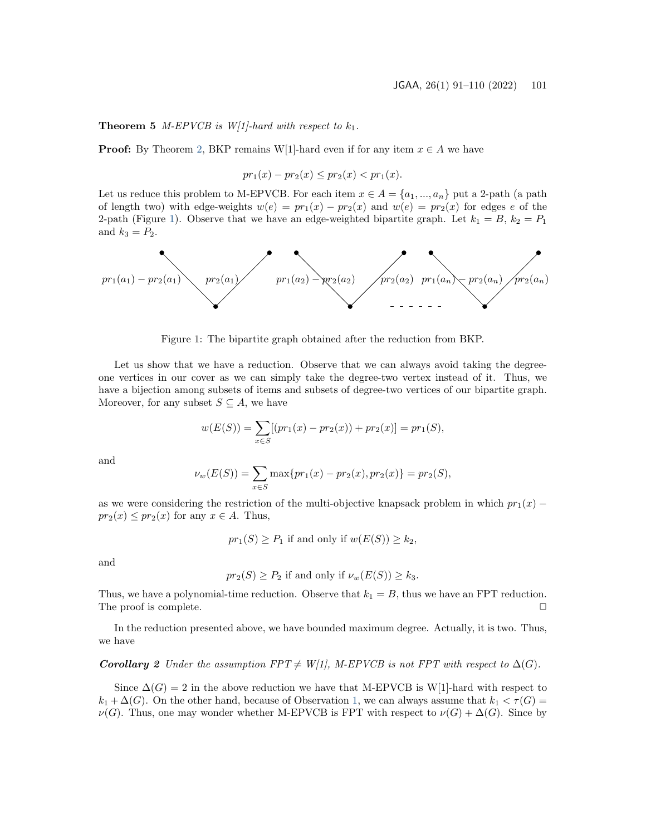**Theorem 5** *M-EPVCB is W[1]-hard with respect to*  $k_1$ .

**Proof:** By Theorem [2,](#page-6-1) BKP remains W[1]-hard even if for any item  $x \in A$  we have

$$
pr_1(x) - pr_2(x) \leq pr_2(x) < pr_1(x).
$$

Let us reduce this problem to M-EPVCB. For each item  $x \in A = \{a_1, ..., a_n\}$  put a 2-path (a path of length two) with edge-weights  $w(e) = pr_1(x) - pr_2(x)$  and  $w(e) = pr_2(x)$  for edges e of the 2-path (Figure [1\)](#page-10-0). Observe that we have an edge-weighted bipartite graph. Let  $k_1 = B$ ,  $k_2 = P_1$ and  $k_3 = P_2$ .



Figure 1: The bipartite graph obtained after the reduction from BKP.

<span id="page-10-0"></span>Let us show that we have a reduction. Observe that we can always avoid taking the degreeone vertices in our cover as we can simply take the degree-two vertex instead of it. Thus, we have a bijection among subsets of items and subsets of degree-two vertices of our bipartite graph. Moreover, for any subset  $S \subseteq A$ , we have

$$
w(E(S)) = \sum_{x \in S} [(pr_1(x) - pr_2(x)) + pr_2(x)] = pr_1(S),
$$

and

$$
\nu_w(E(S)) = \sum_{x \in S} \max\{pr_1(x) - pr_2(x), pr_2(x)\} = pr_2(S),
$$

as we were considering the restriction of the multi-objective knapsack problem in which  $pr_1(x)$  −  $pr_2(x) \leq pr_2(x)$  for any  $x \in A$ . Thus,

 $pr_1(S) \geq P_1$  if and only if  $w(E(S)) \geq k_2$ ,

and

$$
pr_2(S) \ge P_2
$$
 if and only if  $\nu_w(E(S)) \ge k_3$ .

Thus, we have a polynomial-time reduction. Observe that  $k_1 = B$ , thus we have an FPT reduction. The proof is complete.

In the reduction presented above, we have bounded maximum degree. Actually, it is two. Thus, we have

#### <span id="page-10-1"></span>**Corollary 2** Under the assumption FPT  $\neq$  W[1], M-EPVCB is not FPT with respect to  $\Delta(G)$ .

Since  $\Delta(G) = 2$  in the above reduction we have that M-EPVCB is W[1]-hard with respect to  $k_1 + \Delta(G)$ . On the other hand, because of Observation [1,](#page-8-1) we can always assume that  $k_1 < \tau(G)$  $\nu(G)$ . Thus, one may wonder whether M-EPVCB is FPT with respect to  $\nu(G) + \Delta(G)$ . Since by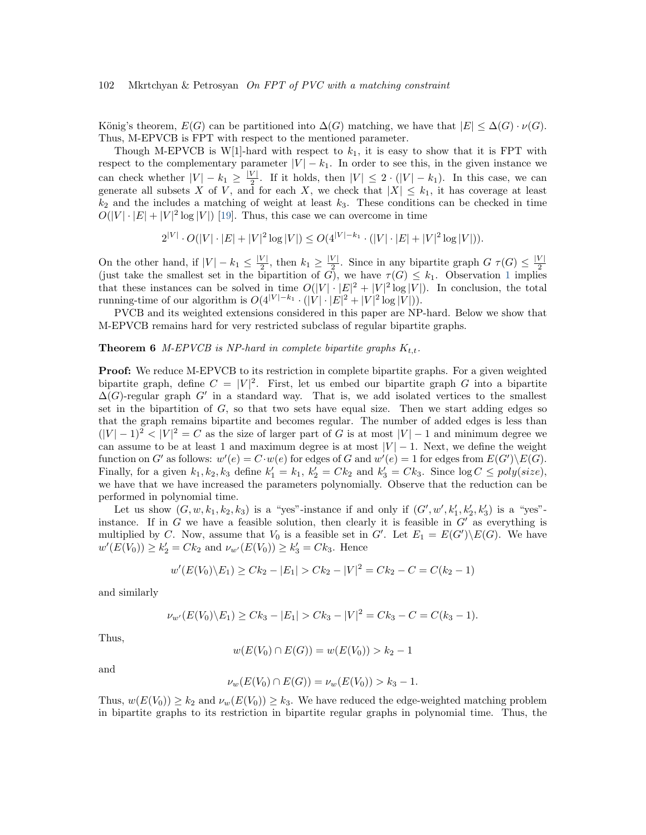König's theorem,  $E(G)$  can be partitioned into  $\Delta(G)$  matching, we have that  $|E| \leq \Delta(G) \cdot \nu(G)$ . Thus, M-EPVCB is FPT with respect to the mentioned parameter.

Though M-EPVCB is W[1]-hard with respect to  $k_1$ , it is easy to show that it is FPT with respect to the complementary parameter  $|V| - k_1$ . In order to see this, in the given instance we can check whether  $|V| - k_1 \geq \frac{|V|}{2}$  $\frac{V}{2}$ . If it holds, then  $|V| \leq 2 \cdot (|V| - k_1)$ . In this case, we can generate all subsets X of V, and for each X, we check that  $|X| \leq k_1$ , it has coverage at least  $k_2$  and the includes a matching of weight at least  $k_3$ . These conditions can be checked in time  $O(|V| \cdot |E| + |V|^2 \log |V|)$  [\[19\]](#page-17-12). Thus, this case we can overcome in time

$$
2^{|V|} \cdot O(|V| \cdot |E| + |V|^2 \log |V|) \le O(4^{|V| - k_1} \cdot (|V| \cdot |E| + |V|^2 \log |V|)).
$$

On the other hand, if  $|V| - k_1 \leq \frac{|V|}{2}$  $\frac{|V|}{2}$ , then  $k_1 \geq \frac{|V|}{2}$  $\frac{V}{2}$ . Since in any bipartite graph  $G \tau(G) \leq \frac{|V|}{2}$ Using the smallest set in the bipartition of G), we have  $\tau(G) \leq k_1$  $\tau(G) \leq k_1$ . Observation 1 implies that these instances can be solved in time  $O(|V| \cdot |E|^2 + |V|^2 \log |V|)$ . In conclusion, the total running-time of our algorithm is  $O(4^{|V|-k_1} \cdot (|V| \cdot |E|^2 + |V|^2 \log |V|)).$ 

PVCB and its weighted extensions considered in this paper are NP-hard. Below we show that M-EPVCB remains hard for very restricted subclass of regular bipartite graphs.

#### <span id="page-11-0"></span>**Theorem 6** M-EPVCB is NP-hard in complete bipartite graphs  $K_{t,t}$ .

**Proof:** We reduce M-EPVCB to its restriction in complete bipartite graphs. For a given weighted bipartite graph, define  $C = |V|^2$ . First, let us embed our bipartite graph G into a bipartite  $\Delta(G)$ -regular graph G' in a standard way. That is, we add isolated vertices to the smallest set in the bipartition of  $G$ , so that two sets have equal size. Then we start adding edges so that the graph remains bipartite and becomes regular. The number of added edges is less than  $(|V| - 1)^2 < |V|^2 = C$  as the size of larger part of G is at most  $|V| - 1$  and minimum degree we can assume to be at least 1 and maximum degree is at most  $|V| - 1$ . Next, we define the weight function on G' as follows:  $w'(e) = C \cdot w(e)$  for edges of G and  $w'(e) = 1$  for edges from  $E(G') \setminus E(G)$ . Finally, for a given  $k_1, k_2, k_3$  define  $k'_1 = k_1, k'_2 = Ck_2$  and  $k'_3 = Ck_3$ . Since  $\log C \leq poly(size)$ , we have that we have increased the parameters polynomially. Observe that the reduction can be performed in polynomial time.

Let us show  $(G, w, k_1, k_2, k_3)$  is a "yes"-instance if and only if  $(G', w', k'_1, k'_2, k'_3)$  is a "yes"instance. If in  $G$  we have a feasible solution, then clearly it is feasible in  $G'$  as everything is multiplied by C. Now, assume that  $V_0$  is a feasible set in G'. Let  $E_1 = E(G')\backslash E(G)$ . We have  $w'(E(V_0)) \geq k'_2 = Ck_2$  and  $\nu_{w'}(E(V_0)) \geq k'_3 = Ck_3$ . Hence

$$
w'(E(V_0)\backslash E_1) \geq Ck_2 - |E_1| > Ck_2 - |V|^2 = Ck_2 - C = C(k_2 - 1)
$$

and similarly

$$
\nu_{w'}(E(V_0)\backslash E_1) \geq Ck_3 - |E_1| > Ck_3 - |V|^2 = Ck_3 - C = C(k_3 - 1).
$$

Thus,

$$
w(E(V_0) \cap E(G)) = w(E(V_0)) > k_2 - 1
$$

and

$$
\nu_w(E(V_0) \cap E(G)) = \nu_w(E(V_0)) > k_3 - 1.
$$

Thus,  $w(E(V_0)) \geq k_2$  and  $\nu_w(E(V_0)) \geq k_3$ . We have reduced the edge-weighted matching problem in bipartite graphs to its restriction in bipartite regular graphs in polynomial time. Thus, the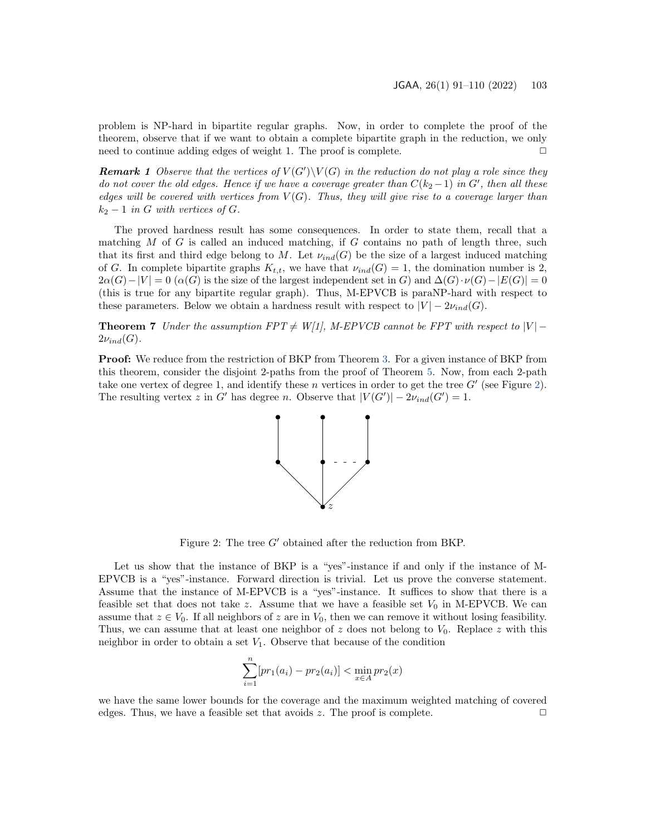problem is NP-hard in bipartite regular graphs. Now, in order to complete the proof of the theorem, observe that if we want to obtain a complete bipartite graph in the reduction, we only need to continue adding edges of weight 1. The proof is complete.  $\Box$ 

**Remark 1** Observe that the vertices of  $V(G')\setminus V(G)$  in the reduction do not play a role since they do not cover the old edges. Hence if we have a coverage greater than  $C(k_2-1)$  in  $G'$ , then all these edges will be covered with vertices from  $V(G)$ . Thus, they will give rise to a coverage larger than  $k_2 - 1$  in G with vertices of G.

The proved hardness result has some consequences. In order to state them, recall that a matching  $M$  of  $G$  is called an induced matching, if  $G$  contains no path of length three, such that its first and third edge belong to M. Let  $\nu_{ind}(G)$  be the size of a largest induced matching of G. In complete bipartite graphs  $K_{t,t}$ , we have that  $\nu_{ind}(G) = 1$ , the domination number is 2,  $2\alpha(G)-|V| = 0$  ( $\alpha(G)$  is the size of the largest independent set in G) and  $\Delta(G)\cdot\nu(G)-|E(G)| = 0$ (this is true for any bipartite regular graph). Thus, M-EPVCB is paraNP-hard with respect to these parameters. Below we obtain a hardness result with respect to  $|V| - 2\nu_{ind}(G)$ .

<span id="page-12-1"></span>**Theorem 7** Under the assumption  $FPT \neq W[1]$ , M-EPVCB cannot be FPT with respect to  $|V|$  –  $2\nu_{ind}(G)$ .

**Proof:** We reduce from the restriction of BKP from Theorem [3.](#page-7-0) For a given instance of BKP from this theorem, consider the disjoint 2-paths from the proof of Theorem [5.](#page-9-0) Now, from each 2-path take one vertex of degree 1, and identify these n vertices in order to get the tree  $G'$  (see Figure [2\)](#page-12-0). The resulting vertex z in G' has degree n. Observe that  $|V(G')| - 2\nu_{ind}(G') = 1$ .



Figure 2: The tree G′ obtained after the reduction from BKP.

<span id="page-12-0"></span>Let us show that the instance of BKP is a "yes"-instance if and only if the instance of M-EPVCB is a "yes"-instance. Forward direction is trivial. Let us prove the converse statement. Assume that the instance of M-EPVCB is a "yes"-instance. It suffices to show that there is a feasible set that does not take z. Assume that we have a feasible set  $V_0$  in M-EPVCB. We can assume that  $z \in V_0$ . If all neighbors of z are in  $V_0$ , then we can remove it without losing feasibility. Thus, we can assume that at least one neighbor of z does not belong to  $V_0$ . Replace z with this neighbor in order to obtain a set  $V_1$ . Observe that because of the condition

$$
\sum_{i=1}^{n} [pr_1(a_i) - pr_2(a_i)] < \min_{x \in A} pr_2(x)
$$

we have the same lower bounds for the coverage and the maximum weighted matching of covered edges. Thus, we have a feasible set that avoids z. The proof is complete.  $\Box$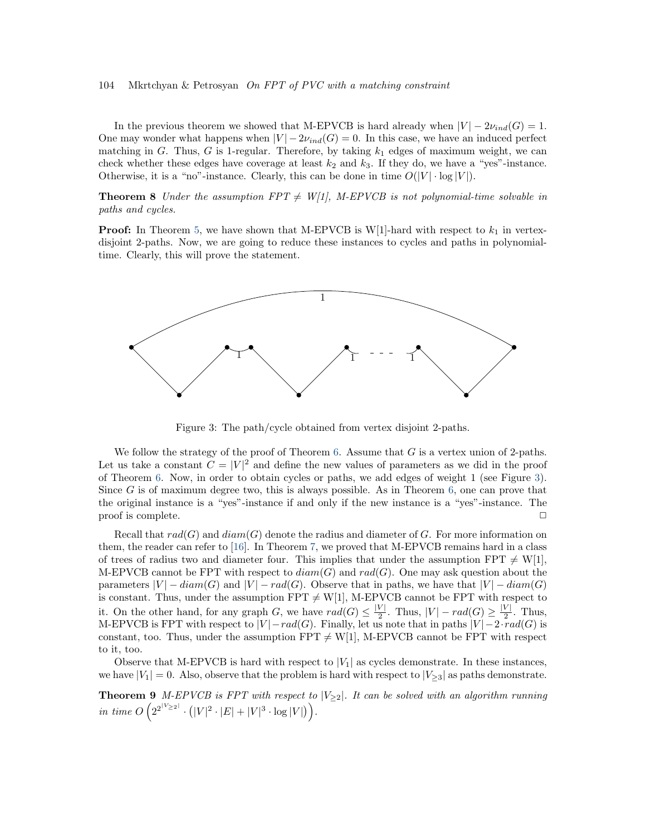In the previous theorem we showed that M-EPVCB is hard already when  $|V| - 2\nu_{ind}(G) = 1$ . One may wonder what happens when  $|V| - 2\nu_{ind}(G) = 0$ . In this case, we have an induced perfect matching in G. Thus, G is 1-regular. Therefore, by taking  $k_1$  edges of maximum weight, we can check whether these edges have coverage at least  $k_2$  and  $k_3$ . If they do, we have a "yes"-instance. Otherwise, it is a "no"-instance. Clearly, this can be done in time  $O(|V| \cdot \log |V|)$ .

**Theorem 8** Under the assumption  $FPT \neq W[1]$ , M-EPVCB is not polynomial-time solvable in paths and cycles.

**Proof:** In Theorem [5,](#page-9-0) we have shown that M-EPVCB is W[1]-hard with respect to  $k_1$  in vertexdisjoint 2-paths. Now, we are going to reduce these instances to cycles and paths in polynomialtime. Clearly, this will prove the statement.



Figure 3: The path/cycle obtained from vertex disjoint 2-paths.

<span id="page-13-0"></span>We follow the strategy of the proof of Theorem [6.](#page-11-0) Assume that  $G$  is a vertex union of 2-paths. Let us take a constant  $C = |V|^2$  and define the new values of parameters as we did in the proof of Theorem [6.](#page-11-0) Now, in order to obtain cycles or paths, we add edges of weight 1 (see Figure [3\)](#page-13-0). Since G is of maximum degree two, this is always possible. As in Theorem [6,](#page-11-0) one can prove that the original instance is a "yes"-instance if and only if the new instance is a "yes"-instance. The proof is complete.

Recall that  $rad(G)$  and  $diam(G)$  denote the radius and diameter of G. For more information on them, the reader can refer to [\[16\]](#page-17-0). In Theorem [7,](#page-12-1) we proved that M-EPVCB remains hard in a class of trees of radius two and diameter four. This implies that under the assumption FPT  $\neq$  W[1], M-EPVCB cannot be FPT with respect to  $diam(G)$  and  $rad(G)$ . One may ask question about the parameters  $|V| - diam(G)$  and  $|V| - rad(G)$ . Observe that in paths, we have that  $|V| - diam(G)$ is constant. Thus, under the assumption  $FPT \neq W[1]$ , M-EPVCB cannot be FPT with respect to it. On the other hand, for any graph G, we have  $rad(G) \leq \frac{|V|}{2}$  $\frac{|V|}{2}$ . Thus,  $|V| - rad(G) \ge \frac{|V|}{2}$  $\frac{v_1}{2}$ . Thus, M-EPVCB is FPT with respect to  $|V| - rad(G)$ . Finally, let us note that in paths  $|V| - 2 \cdot rad(G)$  is constant, too. Thus, under the assumption  $FPT \neq W[1]$ , M-EPVCB cannot be FPT with respect to it, too.

Observe that M-EPVCB is hard with respect to  $|V_1|$  as cycles demonstrate. In these instances, we have  $|V_1| = 0$ . Also, observe that the problem is hard with respect to  $|V_{\geq 3}|$  as paths demonstrate.

**Theorem 9** M-EPVCB is FPT with respect to  $|V_{\geq 2}|$ . It can be solved with an algorithm running in time  $O\left(2^{2^{|V_{\geq 2}|}} \cdot (|V|^2 \cdot |E| + |V|^3 \cdot \log |V|)\right)$ .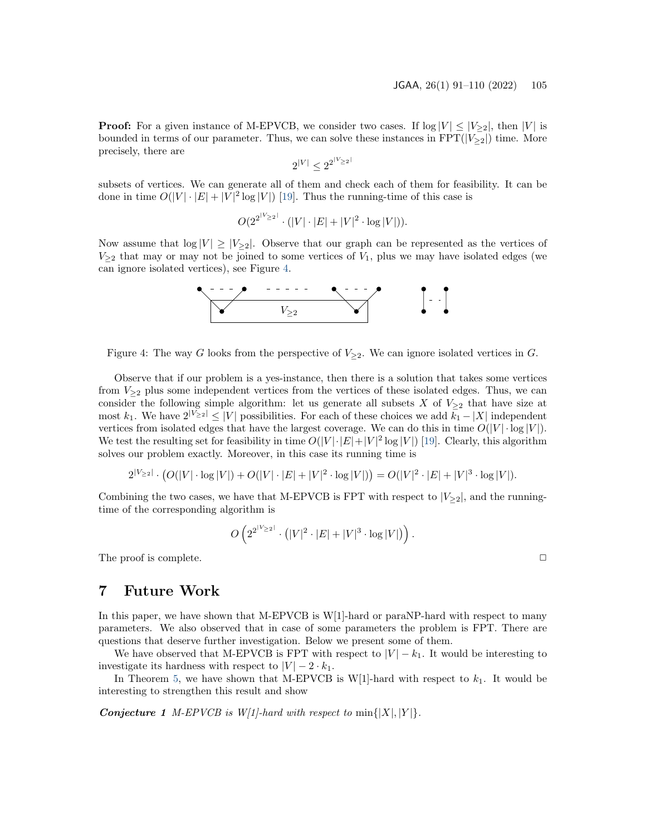**Proof:** For a given instance of M-EPVCB, we consider two cases. If  $\log |V| \leq |V_{\geq 2}|$ , then |V| is bounded in terms of our parameter. Thus, we can solve these instances in  $FPT(|V_{\geq2}|)$  time. More precisely, there are

$$
2^{|V|} \le 2^{2^{|V_{\geq 2}}}
$$

subsets of vertices. We can generate all of them and check each of them for feasibility. It can be done in time  $O(|V| \cdot |E| + |V|^2 \log |V|)$  [\[19\]](#page-17-12). Thus the running-time of this case is

$$
O(2^{2^{|V \geq 2|}} \cdot (|V| \cdot |E| + |V|^2 \cdot \log |V|)).
$$

Now assume that  $log |V| \ge |V_{>2}|$ . Observe that our graph can be represented as the vertices of  $V_{\geq 2}$  that may or may not be joined to some vertices of  $V_1$ , plus we may have isolated edges (we can ignore isolated vertices), see Figure [4.](#page-14-1)



<span id="page-14-1"></span>Figure 4: The way G looks from the perspective of  $V_{\geq 2}$ . We can ignore isolated vertices in G.

Observe that if our problem is a yes-instance, then there is a solution that takes some vertices from  $V_{\geq 2}$  plus some independent vertices from the vertices of these isolated edges. Thus, we can consider the following simple algorithm: let us generate all subsets X of  $V_{\geq 2}$  that have size at most k<sub>1</sub>. We have  $2^{|V|\geq 2} \leq |V|$  possibilities. For each of these choices we add k<sub>1</sub> − |X| independent vertices from isolated edges that have the largest coverage. We can do this in time  $O(|V| \cdot \log |V|)$ . We test the resulting set for feasibility in time  $O(|V| \cdot |E| + |V|^2 \log |V|)$  [\[19\]](#page-17-12). Clearly, this algorithm solves our problem exactly. Moreover, in this case its running time is

$$
2^{|V_{\geq 2}|} \cdot (O(|V| \cdot \log |V|) + O(|V| \cdot |E| + |V|^2 \cdot \log |V|)) = O(|V|^2 \cdot |E| + |V|^3 \cdot \log |V|).
$$

Combining the two cases, we have that M-EPVCB is FPT with respect to  $|V_{\geq 2}|$ , and the runningtime of the corresponding algorithm is

$$
O\left(2^{2^{\lceil V\geq 2\rceil}}\cdot\left(\lvert V\rvert^2\cdot\lvert E\rvert+\lvert V\rvert^3\cdot\log\lvert V\rvert\right)\right).
$$

The proof is complete.  $\Box$ 

### <span id="page-14-0"></span>7 Future Work

In this paper, we have shown that M-EPVCB is W[1]-hard or paraNP-hard with respect to many parameters. We also observed that in case of some parameters the problem is FPT. There are questions that deserve further investigation. Below we present some of them.

We have observed that M-EPVCB is FPT with respect to  $|V| - k_1$ . It would be interesting to investigate its hardness with respect to  $|V| - 2 \cdot k_1$ .

In Theorem [5,](#page-9-0) we have shown that M-EPVCB is W[1]-hard with respect to  $k_1$ . It would be interesting to strengthen this result and show

<span id="page-14-2"></span>**Conjecture 1** M-EPVCB is W[1]-hard with respect to  $\min\{|X|, |Y|\}$ .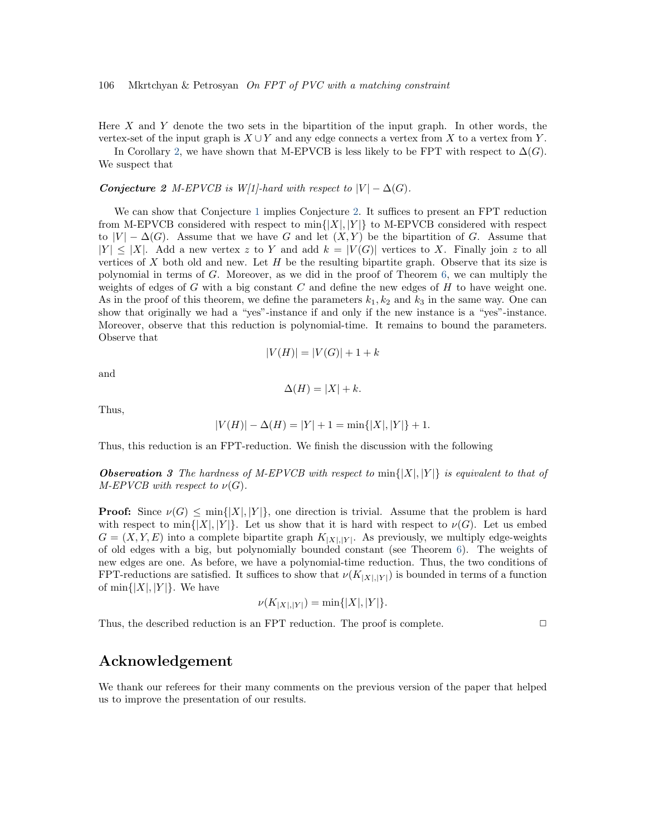Here  $X$  and  $Y$  denote the two sets in the bipartition of the input graph. In other words, the vertex-set of the input graph is  $X \cup Y$  and any edge connects a vertex from X to a vertex from Y.

<span id="page-15-0"></span>In Corollary [2,](#page-10-1) we have shown that M-EPVCB is less likely to be FPT with respect to  $\Delta(G)$ . We suspect that

Conjecture 2 M-EPVCB is W[1]-hard with respect to  $|V| - \Delta(G)$ .

We can show that Conjecture [1](#page-14-2) implies Conjecture [2.](#page-15-0) It suffices to present an FPT reduction from M-EPVCB considered with respect to  $\min\{|X|, |Y|\}$  to M-EPVCB considered with respect to  $|V| - \Delta(G)$ . Assume that we have G and let  $(X, Y)$  be the bipartition of G. Assume that  $|Y| \leq |X|$ . Add a new vertex z to Y and add  $k = |V(G)|$  vertices to X. Finally join z to all vertices of X both old and new. Let  $H$  be the resulting bipartite graph. Observe that its size is polynomial in terms of G. Moreover, as we did in the proof of Theorem  $6$ , we can multiply the weights of edges of  $G$  with a big constant  $C$  and define the new edges of  $H$  to have weight one. As in the proof of this theorem, we define the parameters  $k_1, k_2$  and  $k_3$  in the same way. One can show that originally we had a "yes"-instance if and only if the new instance is a "yes"-instance. Moreover, observe that this reduction is polynomial-time. It remains to bound the parameters. Observe that

$$
|V(H)| = |V(G)| + 1 + k
$$

and

$$
\Delta(H) = |X| + k.
$$

Thus,

$$
|V(H)| - \Delta(H) = |Y| + 1 = \min\{|X|, |Y|\} + 1.
$$

Thus, this reduction is an FPT-reduction. We finish the discussion with the following

**Observation 3** The hardness of M-EPVCB with respect to  $\min\{|X|, |Y|\}$  is equivalent to that of  $M$ -EPVCB with respect to  $\nu(G)$ .

**Proof:** Since  $\nu(G) \le \min\{|X|, |Y|\}$ , one direction is trivial. Assume that the problem is hard with respect to min{ $|X|$ ,  $|Y|$ . Let us show that it is hard with respect to  $\nu(G)$ . Let us embed  $G = (X, Y, E)$  into a complete bipartite graph  $K_{[X],[Y]}$ . As previously, we multiply edge-weights of old edges with a big, but polynomially bounded constant (see Theorem [6\)](#page-11-0). The weights of new edges are one. As before, we have a polynomial-time reduction. Thus, the two conditions of FPT-reductions are satisfied. It suffices to show that  $\nu(K_{|X|,|Y|})$  is bounded in terms of a function of  $\min\{|X|, |Y|\}$ . We have

$$
\nu(K_{|X|,|Y|}) = \min\{|X|,|Y|\}.
$$

Thus, the described reduction is an FPT reduction. The proof is complete.  $\Box$ 

### Acknowledgement

We thank our referees for their many comments on the previous version of the paper that helped us to improve the presentation of our results.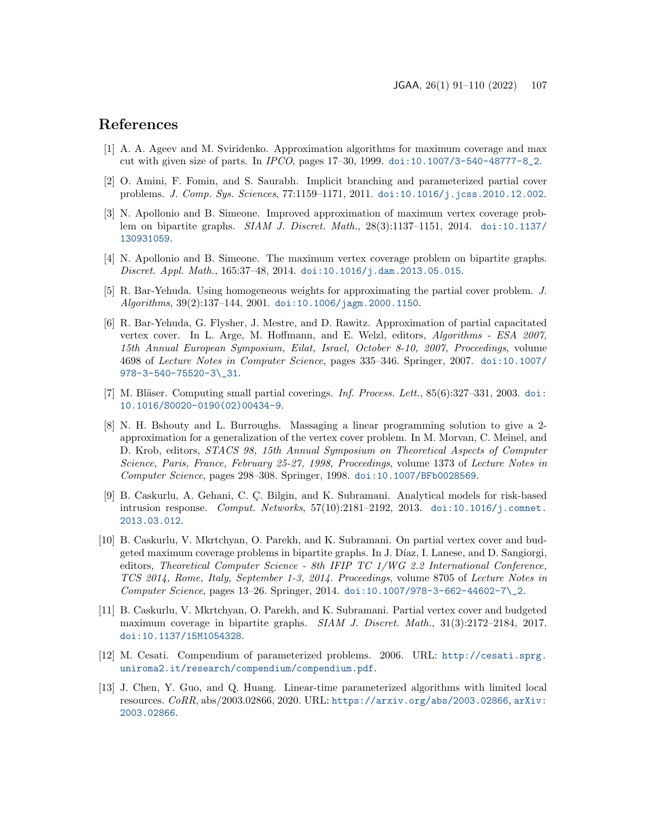# References

- <span id="page-16-8"></span>[1] A. A. Ageev and M. Sviridenko. Approximation algorithms for maximum coverage and max cut with given size of parts. In IPCO, pages 17–30, 1999. [doi:10.1007/3-540-48777-8\\_2](https://doi.org/10.1007/3-540-48777-8_2).
- <span id="page-16-10"></span>[2] O. Amini, F. Fomin, and S. Saurabh. Implicit branching and parameterized partial cover problems. J. Comp. Sys. Sciences, 77:1159–1171, 2011. [doi:10.1016/j.jcss.2010.12.002](https://doi.org/10.1016/j.jcss.2010.12.002).
- <span id="page-16-9"></span>[3] N. Apollonio and B. Simeone. Improved approximation of maximum vertex coverage problem on bipartite graphs. SIAM J. Discret. Math., 28(3):1137–1151, 2014. [doi:10.1137/](https://doi.org/10.1137/130931059) [130931059](https://doi.org/10.1137/130931059).
- <span id="page-16-2"></span>[4] N. Apollonio and B. Simeone. The maximum vertex coverage problem on bipartite graphs. Discret. Appl. Math., 165:37–48, 2014. [doi:10.1016/j.dam.2013.05.015](https://doi.org/10.1016/j.dam.2013.05.015).
- <span id="page-16-7"></span>[5] R. Bar-Yehuda. Using homogeneous weights for approximating the partial cover problem. J. Algorithms, 39(2):137–144, 2001. [doi:10.1006/jagm.2000.1150](https://doi.org/10.1006/jagm.2000.1150).
- <span id="page-16-6"></span>[6] R. Bar-Yehuda, G. Flysher, J. Mestre, and D. Rawitz. Approximation of partial capacitated vertex cover. In L. Arge, M. Hoffmann, and E. Welzl, editors, Algorithms - ESA 2007, 15th Annual European Symposium, Eilat, Israel, October 8-10, 2007, Proceedings, volume 4698 of Lecture Notes in Computer Science, pages 335–346. Springer, 2007. [doi:10.1007/](https://doi.org/10.1007/978-3-540-75520-3_31) [978-3-540-75520-3\\\_31](https://doi.org/10.1007/978-3-540-75520-3_31).
- <span id="page-16-4"></span>[7] M. Bläser. Computing small partial coverings. Inf. Process. Lett.,  $85(6):327-331$ , 2003. [doi:](https://doi.org/10.1016/S0020-0190(02)00434-9) [10.1016/S0020-0190\(02\)00434-9](https://doi.org/10.1016/S0020-0190(02)00434-9).
- <span id="page-16-5"></span>[8] N. H. Bshouty and L. Burroughs. Massaging a linear programming solution to give a 2 approximation for a generalization of the vertex cover problem. In M. Morvan, C. Meinel, and D. Krob, editors, STACS 98, 15th Annual Symposium on Theoretical Aspects of Computer Science, Paris, France, February 25-27, 1998, Proceedings, volume 1373 of Lecture Notes in Computer Science, pages 298–308. Springer, 1998. [doi:10.1007/BFb0028569](https://doi.org/10.1007/BFb0028569).
- <span id="page-16-0"></span>[9] B. Caskurlu, A. Gehani, C. Ç. Bilgin, and K. Subramani. Analytical models for risk-based intrusion response. Comput. Networks, 57(10):2181–2192, 2013. [doi:10.1016/j.comnet.](https://doi.org/10.1016/j.comnet.2013.03.012) [2013.03.012](https://doi.org/10.1016/j.comnet.2013.03.012).
- <span id="page-16-3"></span>[10] B. Caskurlu, V. Mkrtchyan, O. Parekh, and K. Subramani. On partial vertex cover and budgeted maximum coverage problems in bipartite graphs. In J. Díaz, I. Lanese, and D. Sangiorgi, editors, Theoretical Computer Science - 8th IFIP TC 1/WG 2.2 International Conference, TCS 2014, Rome, Italy, September 1-3, 2014. Proceedings, volume 8705 of Lecture Notes in Computer Science, pages 13–26. Springer, 2014. [doi:10.1007/978-3-662-44602-7\\\_2](https://doi.org/10.1007/978-3-662-44602-7_2).
- <span id="page-16-1"></span>[11] B. Caskurlu, V. Mkrtchyan, O. Parekh, and K. Subramani. Partial vertex cover and budgeted maximum coverage in bipartite graphs. SIAM J. Discret. Math., 31(3):2172–2184, 2017. [doi:10.1137/15M1054328](https://doi.org/10.1137/15M1054328).
- <span id="page-16-11"></span>[12] M. Cesati. Compendium of parameterized problems. 2006. URL: [http://cesati.sprg.](http://cesati.sprg.uniroma2.it/research/compendium/compendium.pdf) [uniroma2.it/research/compendium/compendium.pdf](http://cesati.sprg.uniroma2.it/research/compendium/compendium.pdf).
- <span id="page-16-12"></span>[13] J. Chen, Y. Guo, and Q. Huang. Linear-time parameterized algorithms with limited local resources. CoRR, abs/2003.02866, 2020. URL: <https://arxiv.org/abs/2003.02866>, [arXiv:](http://arxiv.org/abs/2003.02866) [2003.02866](http://arxiv.org/abs/2003.02866).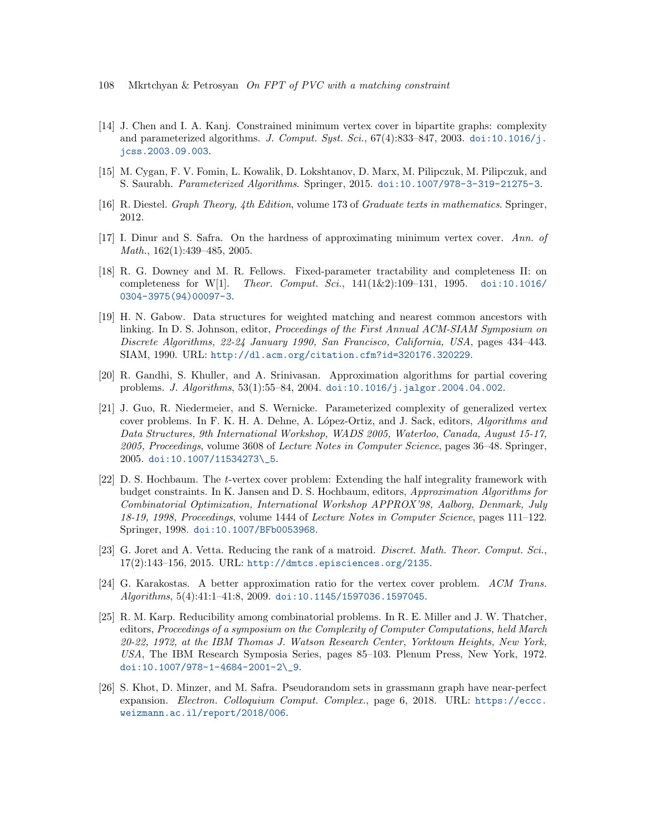- 108 Mkrtchyan & Petrosyan On FPT of PVC with a matching constraint
- <span id="page-17-9"></span>[14] J. Chen and I. A. Kanj. Constrained minimum vertex cover in bipartite graphs: complexity and parameterized algorithms. J. Comput. Syst. Sci.,  $67(4):833-847, 2003$ . [doi:10.1016/j.](https://doi.org/10.1016/j.jcss.2003.09.003) [jcss.2003.09.003](https://doi.org/10.1016/j.jcss.2003.09.003).
- <span id="page-17-2"></span>[15] M. Cygan, F. V. Fomin, L. Kowalik, D. Lokshtanov, D. Marx, M. Pilipczuk, M. Pilipczuk, and S. Saurabh. Parameterized Algorithms. Springer, 2015. [doi:10.1007/978-3-319-21275-3](https://doi.org/10.1007/978-3-319-21275-3).
- <span id="page-17-0"></span>[16] R. Diestel. Graph Theory, 4th Edition, volume 173 of Graduate texts in mathematics. Springer, 2012.
- <span id="page-17-5"></span>[17] I. Dinur and S. Safra. On the hardness of approximating minimum vertex cover. Ann. of Math., 162(1):439–485, 2005.
- <span id="page-17-11"></span>[18] R. G. Downey and M. R. Fellows. Fixed-parameter tractability and completeness II: on completeness for W[1]. Theor. Comput. Sci., 141(1&2):109–131, 1995. [doi:10.1016/](https://doi.org/10.1016/0304-3975(94)00097-3) [0304-3975\(94\)00097-3](https://doi.org/10.1016/0304-3975(94)00097-3).
- <span id="page-17-12"></span>[19] H. N. Gabow. Data structures for weighted matching and nearest common ancestors with linking. In D. S. Johnson, editor, Proceedings of the First Annual ACM-SIAM Symposium on Discrete Algorithms, 22-24 January 1990, San Francisco, California, USA, pages 434–443. SIAM, 1990. URL: <http://dl.acm.org/citation.cfm?id=320176.320229>.
- <span id="page-17-8"></span>[20] R. Gandhi, S. Khuller, and A. Srinivasan. Approximation algorithms for partial covering problems. J. Algorithms, 53(1):55–84, 2004. [doi:10.1016/j.jalgor.2004.04.002](https://doi.org/10.1016/j.jalgor.2004.04.002).
- <span id="page-17-10"></span>[21] J. Guo, R. Niedermeier, and S. Wernicke. Parameterized complexity of generalized vertex cover problems. In F. K. H. A. Dehne, A. López-Ortiz, and J. Sack, editors, Algorithms and Data Structures, 9th International Workshop, WADS 2005, Waterloo, Canada, August 15-17, 2005, Proceedings, volume 3608 of Lecture Notes in Computer Science, pages 36–48. Springer, 2005. [doi:10.1007/11534273\\\_5](https://doi.org/10.1007/11534273_5).
- <span id="page-17-7"></span>[22] D. S. Hochbaum. The t-vertex cover problem: Extending the half integrality framework with budget constraints. In K. Jansen and D. S. Hochbaum, editors, Approximation Algorithms for Combinatorial Optimization, International Workshop APPROX'98, Aalborg, Denmark, July 18-19, 1998, Proceedings, volume 1444 of Lecture Notes in Computer Science, pages 111–122. Springer, 1998. [doi:10.1007/BFb0053968](https://doi.org/10.1007/BFb0053968).
- <span id="page-17-3"></span>[23] G. Joret and A. Vetta. Reducing the rank of a matroid. Discret. Math. Theor. Comput. Sci., 17(2):143–156, 2015. URL: <http://dmtcs.episciences.org/2135>.
- <span id="page-17-4"></span>[24] G. Karakostas. A better approximation ratio for the vertex cover problem. ACM Trans. Algorithms, 5(4):41:1–41:8, 2009. [doi:10.1145/1597036.1597045](https://doi.org/10.1145/1597036.1597045).
- <span id="page-17-1"></span>[25] R. M. Karp. Reducibility among combinatorial problems. In R. E. Miller and J. W. Thatcher, editors, Proceedings of a symposium on the Complexity of Computer Computations, held March 20-22, 1972, at the IBM Thomas J. Watson Research Center, Yorktown Heights, New York, USA, The IBM Research Symposia Series, pages 85–103. Plenum Press, New York, 1972. [doi:10.1007/978-1-4684-2001-2\\\_9](https://doi.org/10.1007/978-1-4684-2001-2_9).
- <span id="page-17-6"></span>[26] S. Khot, D. Minzer, and M. Safra. Pseudorandom sets in grassmann graph have near-perfect expansion. Electron. Colloquium Comput. Complex., page 6, 2018. URL: [https://eccc.](https://eccc.weizmann.ac.il/report/2018/006) [weizmann.ac.il/report/2018/006](https://eccc.weizmann.ac.il/report/2018/006).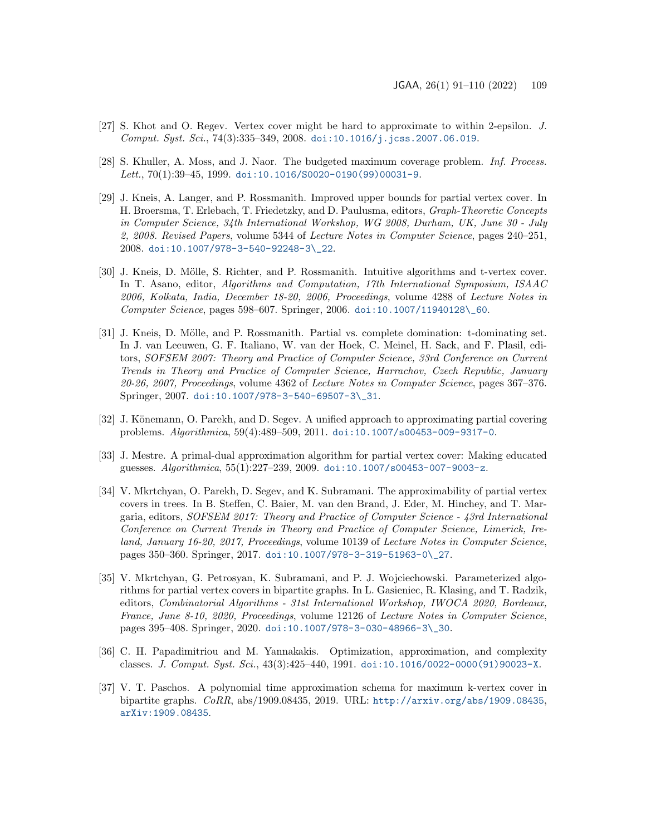- <span id="page-18-2"></span>[27] S. Khot and O. Regev. Vertex cover might be hard to approximate to within 2-epsilon. J. Comput. Syst. Sci., 74(3):335-349, 2008. [doi:10.1016/j.jcss.2007.06.019](https://doi.org/10.1016/j.jcss.2007.06.019).
- <span id="page-18-9"></span>[28] S. Khuller, A. Moss, and J. Naor. The budgeted maximum coverage problem. Inf. Process. Lett.,  $70(1):39-45, 1999.$  [doi:10.1016/S0020-0190\(99\)00031-9](https://doi.org/10.1016/S0020-0190(99)00031-9).
- <span id="page-18-4"></span>[29] J. Kneis, A. Langer, and P. Rossmanith. Improved upper bounds for partial vertex cover. In H. Broersma, T. Erlebach, T. Friedetzky, and D. Paulusma, editors, Graph-Theoretic Concepts in Computer Science, 34th International Workshop, WG 2008, Durham, UK, June 30 - July 2, 2008. Revised Papers, volume 5344 of Lecture Notes in Computer Science, pages 240–251, 2008. [doi:10.1007/978-3-540-92248-3\\\_22](https://doi.org/10.1007/978-3-540-92248-3_22).
- <span id="page-18-7"></span>[30] J. Kneis, D. Mölle, S. Richter, and P. Rossmanith. Intuitive algorithms and t-vertex cover. In T. Asano, editor, Algorithms and Computation, 17th International Symposium, ISAAC 2006, Kolkata, India, December 18-20, 2006, Proceedings, volume 4288 of Lecture Notes in Computer Science, pages 598–607. Springer, 2006. [doi:10.1007/11940128\\\_60](https://doi.org/10.1007/11940128_60).
- <span id="page-18-6"></span>[31] J. Kneis, D. Mölle, and P. Rossmanith. Partial vs. complete domination: t-dominating set. In J. van Leeuwen, G. F. Italiano, W. van der Hoek, C. Meinel, H. Sack, and F. Plasil, editors, SOFSEM 2007: Theory and Practice of Computer Science, 33rd Conference on Current Trends in Theory and Practice of Computer Science, Harrachov, Czech Republic, January 20-26, 2007, Proceedings, volume 4362 of Lecture Notes in Computer Science, pages 367–376. Springer, 2007. [doi:10.1007/978-3-540-69507-3\\\_31](https://doi.org/10.1007/978-3-540-69507-3_31).
- <span id="page-18-3"></span>[32] J. Könemann, O. Parekh, and D. Segev. A unified approach to approximating partial covering problems. Algorithmica, 59(4):489–509, 2011. [doi:10.1007/s00453-009-9317-0](https://doi.org/10.1007/s00453-009-9317-0).
- <span id="page-18-5"></span>[33] J. Mestre. A primal-dual approximation algorithm for partial vertex cover: Making educated guesses. Algorithmica, 55(1):227–239, 2009. [doi:10.1007/s00453-007-9003-z](https://doi.org/10.1007/s00453-007-9003-z).
- <span id="page-18-8"></span>[34] V. Mkrtchyan, O. Parekh, D. Segev, and K. Subramani. The approximability of partial vertex covers in trees. In B. Steffen, C. Baier, M. van den Brand, J. Eder, M. Hinchey, and T. Margaria, editors, SOFSEM 2017: Theory and Practice of Computer Science - 43rd International Conference on Current Trends in Theory and Practice of Computer Science, Limerick, Ireland, January 16-20, 2017, Proceedings, volume 10139 of Lecture Notes in Computer Science, pages 350–360. Springer, 2017. [doi:10.1007/978-3-319-51963-0\\\_27](https://doi.org/10.1007/978-3-319-51963-0_27).
- <span id="page-18-0"></span>[35] V. Mkrtchyan, G. Petrosyan, K. Subramani, and P. J. Wojciechowski. Parameterized algorithms for partial vertex covers in bipartite graphs. In L. Gasieniec, R. Klasing, and T. Radzik, editors, Combinatorial Algorithms - 31st International Workshop, IWOCA 2020, Bordeaux, France, June 8-10, 2020, Proceedings, volume 12126 of Lecture Notes in Computer Science, pages 395–408. Springer, 2020. [doi:10.1007/978-3-030-48966-3\\\_30](https://doi.org/10.1007/978-3-030-48966-3_30).
- <span id="page-18-1"></span>[36] C. H. Papadimitriou and M. Yannakakis. Optimization, approximation, and complexity classes. J. Comput. Syst. Sci.,  $43(3):425-440$ , 1991. [doi:10.1016/0022-0000\(91\)90023-X](https://doi.org/10.1016/0022-0000(91)90023-X).
- <span id="page-18-10"></span>[37] V. T. Paschos. A polynomial time approximation schema for maximum k-vertex cover in bipartite graphs. CoRR, abs/1909.08435, 2019. URL: <http://arxiv.org/abs/1909.08435>, [arXiv:1909.08435](http://arxiv.org/abs/1909.08435).